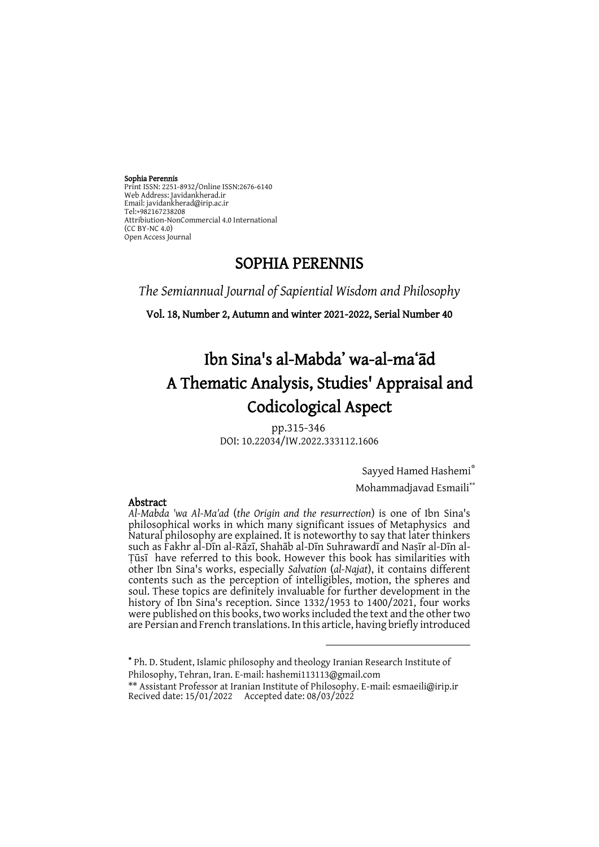Sophia Perennis Print ISSN: 2251-8932/Online ISSN:2676-6140 Web Address: Javidankherad.ir Email[: javidankherad@irip.ac.ir](mailto:javidankherad@irip.ac.ir) [Tel:+982167238208](tel:+982167238208) Attribiution-NonCommercial 4.0 International (CC BY-NC 4.0) Open Access Journal

# SOPHIA PERENNIS

*The Semiannual Journal of Sapiential Wisdom and Philosophy*

Vol. 18, Number 2, Autumn and winter 2021-2022, Serial Number 40

# Ibn Sina's al-Mabda' wa-al-maʻād A Thematic Analysis, Studies' Appraisal and Codicological Aspect

pp.315-346 DOI: 10.22034/IW.2022.333112.1606

Sayyed Hamed Hashemi\*

Mohammadjavad Esmaili\*\*

*Al-Mabda 'wa Al-Ma'ad* (*the Origin and the resurrection*) is one of Ibn Sina's philosophical works in which many significant issues of Metaphysics and Natural philosophy are explained. It is noteworthy to say that later thinkers such as Fakhr al-Dīn al-Rāzī, Shahāb al-Dīn Suhrawardī and Naṣīr al-Dīn al-Ṭūsī have referred to this book. However this book has similarities with other Ibn Sina's works, especially *Salvation* (*al-Najat*), it contains different contents such as the perception of intelligibles, motion, the spheres and soul. These topics are definitely invaluable for further development in the history of Ibn Sina's reception. Since 1332/1953 to 1400/2021, four works were published on this books, two works included the text and the other two are Persian and French translations. In this article, having briefly introduced

\* Ph. D. Student, Islamic philosophy and theology Iranian Research Institute of Philosophy, Tehran, Iran. E-mail: hashemi113113@gmail.com \*\* Assistant Professor at Iranian Institute of Philosophy. E-mail[: esmaeili@irip.ir](mailto:esmaeili@irip.ir) Recived date: 15/01/2022 Accepted date: 08/03/2022

<u>.</u>

#### Abstract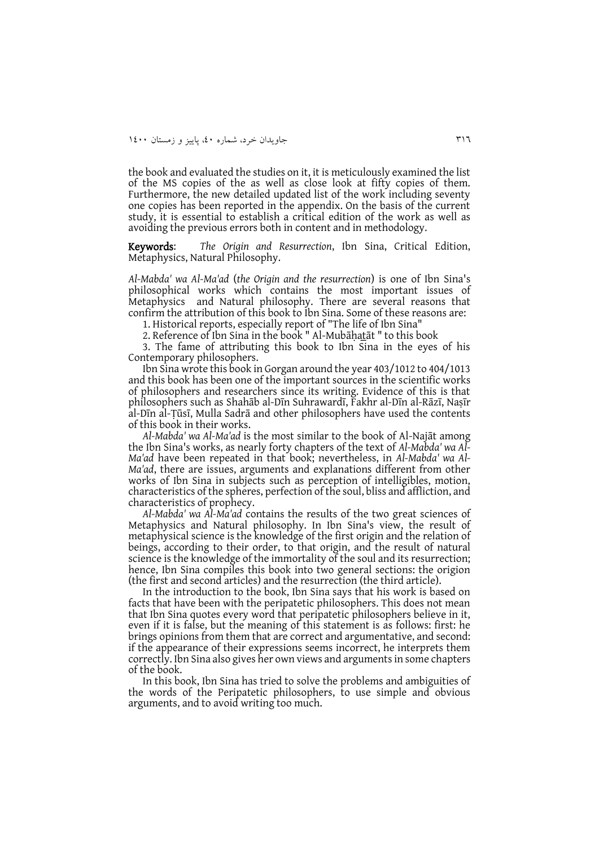the book and evaluated the studies on it, it is meticulously examined the list of the MS copies of the as well as close look at fifty copies of them. Furthermore, the new detailed updated list of the work including seventy one copies has been reported in the appendix. On the basis of the current study, it is essential to establish a critical edition of the work as well as avoiding the previous errors both in content and in methodology.

Keywords: *The Origin and Resurrection*, Ibn Sina, Critical Edition, Metaphysics, Natural Philosophy.

*Al-Mabda' wa Al-Ma'ad* (*the Origin and the resurrection*) is one of Ibn Sina's philosophical works which contains the most important issues of Metaphysics and Natural philosophy. There are several reasons that confirm the attribution of this book to Ibn Sina. Some of these reasons are:

1. Historical reports, especially report of "The life of Ibn Sina"

2. Reference of Ibn Sina in the book " Al-Mubāḥat̲āt " to this book

3. The fame of attributing this book to Ibn Sina in the eyes of his Contemporary philosophers.

Ibn Sina wrote this book in Gorgan around the year 403/1012 to 404/1013 and this book has been one of the important sources in the scientific works of philosophers and researchers since its writing. Evidence of this is that philosophers such as Shahāb al-Dīn Suhrawardī, Fakhr al-Dīn al-Rāzī, Naṣīr al-Dīn al-Ṭūsī, Mulla Sadrā and other philosophers have used the contents of this book in their works.

*Al-Mabda' wa Al-Ma'ad* is the most similar to the book of Al-Najāt among the Ibn Sina's works, as nearly forty chapters of the text of *Al-Mabda' wa Al-Ma'ad* have been repeated in that book; nevertheless, in *Al-Mabda' wa Al-Ma'ad*, there are issues, arguments and explanations different from other works of Ibn Sina in subjects such as perception of intelligibles, motion, characteristics of the spheres, perfection of the soul, bliss and affliction, and characteristics of prophecy.

*Al-Mabda' wa Al-Ma'ad* contains the results of the two great sciences of Metaphysics and Natural philosophy. In Ibn Sina's view, the result of metaphysical science is the knowledge of the first origin and the relation of beings, according to their order, to that origin, and the result of natural science is the knowledge of the immortality of the soul and its resurrection; hence, Ibn Sina compiles this book into two general sections: the origion (the first and second articles) and the resurrection (the third article).

In the introduction to the book, Ibn Sina says that his work is based on facts that have been with the peripatetic philosophers. This does not mean that Ibn Sina quotes every word that peripatetic philosophers believe in it, even if it is false, but the meaning of this statement is as follows: first: he brings opinions from them that are correct and argumentative, and second: if the appearance of their expressions seems incorrect, he interprets them correctly. Ibn Sina also gives her own views and arguments in some chapters of the book.

In this book, Ibn Sina has tried to solve the problems and ambiguities of the words of the Peripatetic philosophers, to use simple and obvious arguments, and to avoid writing too much.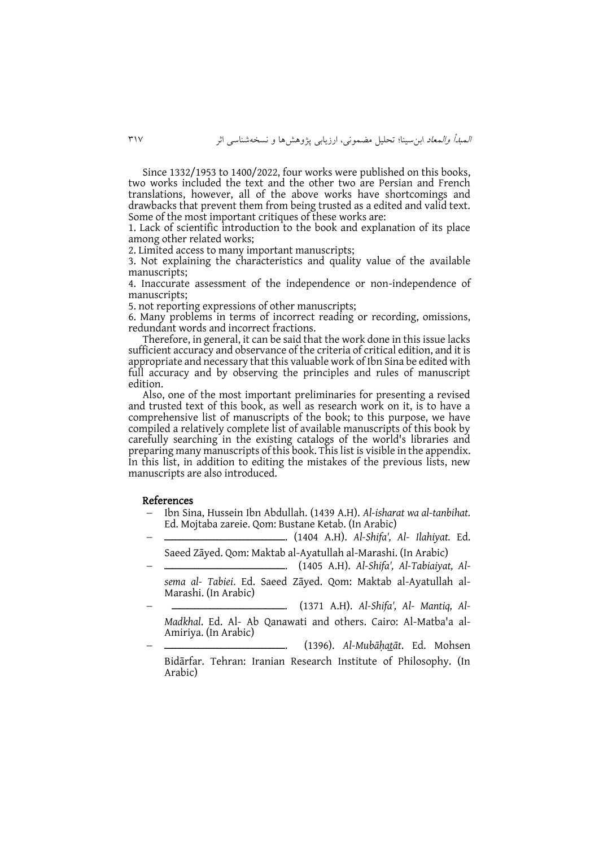Since 1332/1953 to 1400/2022, four works were published on this books, two works included the text and the other two are Persian and French translations, however, all of the above works have shortcomings and drawbacks that prevent them from being trusted as a edited and valid text. Some of the most important critiques of these works are:

1. Lack of scientific introduction to the book and explanation of its place among other related works;

2. Limited access to many important manuscripts;

3. Not explaining the characteristics and quality value of the available manuscripts;

4. Inaccurate assessment of the independence or non-independence of manuscripts;

5. not reporting expressions of other manuscripts;

6. Many problems in terms of incorrect reading or recording, omissions, redundant words and incorrect fractions.

Therefore, in general, it can be said that the work done in this issue lacks sufficient accuracy and observance of the criteria of critical edition, and it is appropriate and necessary that this valuable work of Ibn Sina be edited with full accuracy and by observing the principles and rules of manuscript edition.

Also, one of the most important preliminaries for presenting a revised and trusted text of this book, as well as research work on it, is to have a comprehensive list of manuscripts of the book; to this purpose, we have compiled a relatively complete list of available manuscripts of this book by carefully searching in the existing catalogs of the world's libraries and preparing many manuscripts of this book. This list is visible in the appendix. In this list, in addition to editing the mistakes of the previous lists, new manuscripts are also introduced.

#### References

 Ibn Sina, Hussein Ibn Abdullah. (1439 A.H). *Al-isharat wa al-tanbihat.* Ed. Mojtaba zareie. Qom: Bustane Ketab. (In Arabic)

 ــــــــــــــــــــــــــــــــ.) 1404 A.H). *Al-Shifa', Al- Ilahiyat.* Ed. Saeed Zāyed. Qom: Maktab al-Ayatullah al-Marashi. (In Arabic)

 ــــــــــــــــــــــــــــــــ.) 1405 A.H). *Al-Shifa', Al-Tabiaiyat, Alsema al- Tabiei*. Ed. Saeed Zāyed. Qom: Maktab al-Ayatullah al-Marashi. (In Arabic)

 ــــــــــــــــــــــــــــــ.) 1371 A.H). *Al-Shifa', Al- Mantiq, Al-Madkhal*. Ed. Al- Ab Qanawati and others. Cairo: Al-Matba'a al-Amiriya. (In Arabic)

ــــــــــــــــــــــــــــــــ.) 1396(. *Al-Mubāḥat̲āt*. Ed. Mohsen Bidārfar. Tehran: Iranian Research Institute of Philosophy. (In Arabic)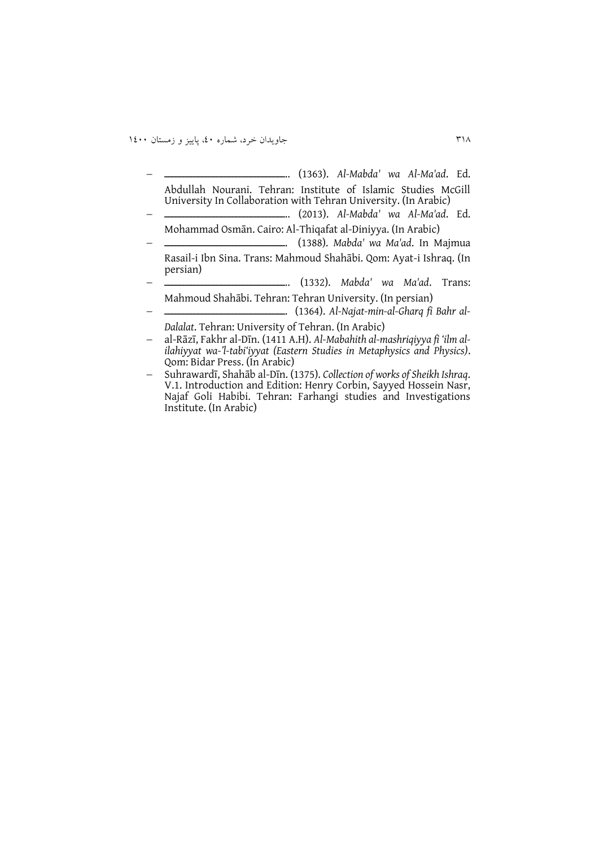ــــــــــــــــــــــــــــــــ..) 1363(. *Al-Mabda' wa Al-Ma'ad*. Ed. Abdullah Nourani. Tehran: Institute of Islamic Studies McGill University In Collaboration with Tehran University. (In Arabic)

- ــــــــــــــــــــــــــــــــ..) 2013(. *Al-Mabda' wa Al-Ma'ad*. Ed. Mohammad Osmān. Cairo: Al-Thiqafat al-Diniyya. (In Arabic)
- ــــــــــــــــــــــــــــــــ.) 1388(. *Mabda' wa Ma'ad*. In Majmua Rasail-i Ibn Sina. Trans: Mahmoud Shahābi. Qom: Ayat-i Ishraq. (In persian)
- ــــــــــــــــــــــــــــــــ..) 1332(. *Mabda' wa Ma'ad*. Trans: Mahmoud Shahābi. Tehran: Tehran University. (In persian)
	- ــــــــــــــــــــــــــــــــ.) 1364(. *Al-Najat-min-al-Gharq fi Bahr al-Dalalat*. Tehran: University of Tehran. (In Arabic)

 al-Rāzī, Fakhr al-Dīn. (1411 A.H). *Al-Mabahith al-mashriqiyya fi 'ilm alilahiyyat wa-'l-tabi'iyyat (Eastern Studies in Metaphysics and Physics)*. Qom: Bidar Press. (In Arabic)

 Suhrawardī, Shahāb al-Dīn. (1375). *Collection of works of Sheikh Ishraq*. V.1. Introduction and Edition: Henry Corbin, Sayyed Hossein Nasr, Najaf Goli Habibi. Tehran: Farhangi studies and Investigations Institute. (In Arabic)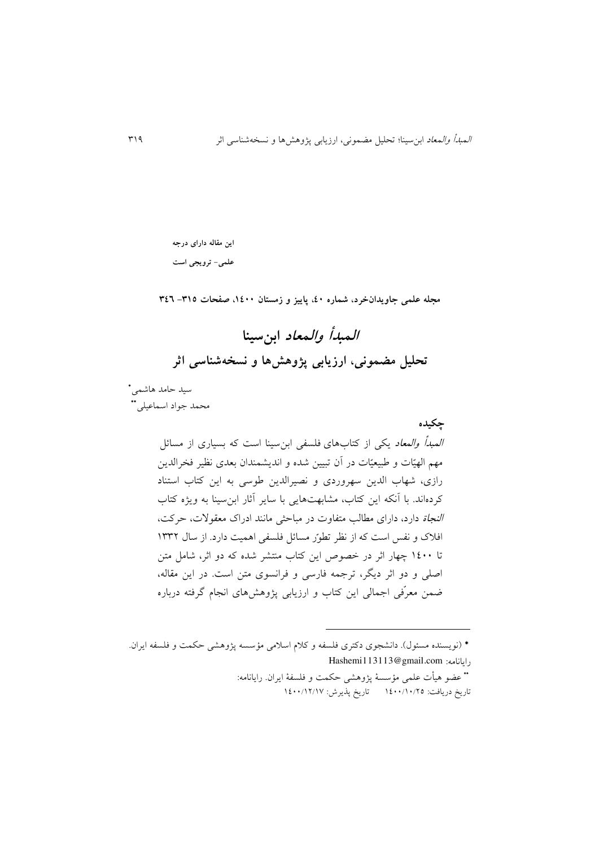**این مقاله دارای درجه** 

**علمی- ترویجی است**

**مجله علمی جاویدانخرد، شماره ،04 پاییز و زمستان ،0044 صفحات -503 503**

**المبدأ والمعاد ابنسینا تحلیل مضمونی، ارزیابی پژوهشها و نسخهشناسی اثر**

سید حامد هاشمی\* محمد جواد اسماعیلی\*\*

> **چکیده** المبدأ والمعاد يکی از کتابهای فلسفی ابنسینا است که بسیاری از مسائل مهم الهیّات و طبیعیّات در آن تبیین شده و اندیشمندان بعدی نظیر فخرالدین رازی، شهاب الدين سهروردی و نصیرالدين طوسی به اين کتاب استناد کردهاند. با آنکه اين کتاب، مشابهتهايی با ساير آثار ابنسینا به ويژه کتاب النجاة دارد، دارای مطالب متفاوت در مباحثی مانند ادراک معقوالت، حرکت، افلاک و نفس است که از نظر تطور مسائل فلسفی اهمیت دارد. از سال ۱۳۳۲ تا 6044 چهار اثر در خصوص اين کتاب منتشر شده که دو اثر، شامل متن اصلی و دو اثر ديگر، ترجمه فارسی و فرانسوی متن است. در اين مقاله، ضمن معر فی اجمالی اين کتاب و ارزيابی پژوهشهای انجام گرفته درباره

<u>.</u>

<sup>\* (</sup>نو يسنده مسئول). دانشجوی دکتری فلسفه و کلام اسلامی مؤسسه پژوهشی حکمت و فلسفه ايران. [Hashemi113113@gmail.com](mailto:Hashemi113113@gmail.com) :رايانامه

<sup>\*</sup> عضو هیأت علمی مؤسسهٔ پژوهشی حکمت و فلسفهٔ ایران. رایانامه: تاريخ دريافت: 6044/64/15 تاريخ پذيرش: 6044/61/63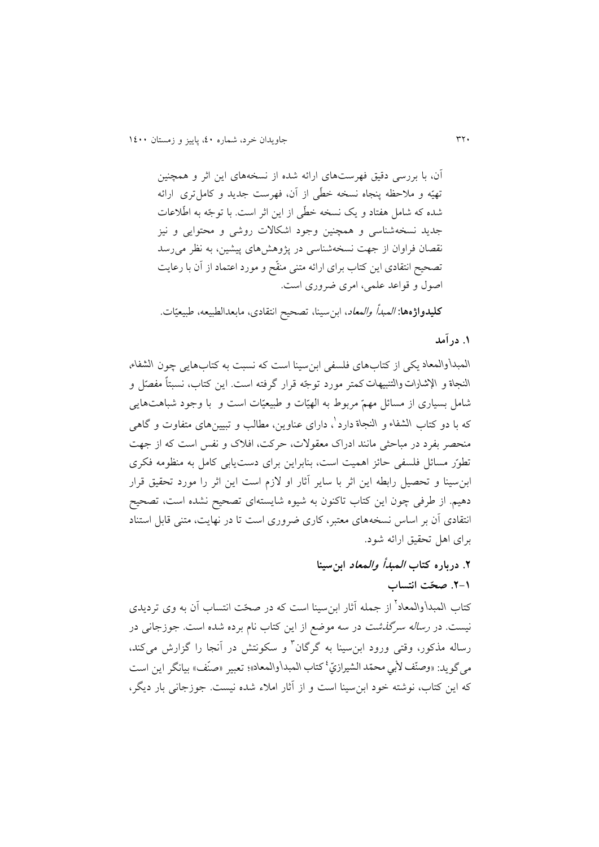آن، با بررسی دقیق فهرستهای ارائه شده از نسخههای اين اثر و همچنین تهیّه و ملاحظه پنجاه نسخه خطّی از آن، فهرست جدید و کاملتری ارائه شده که شامل هفتاد و يک نسخه خطّى از اين اثر است. با توجّه به اطّلاعات جديد نسخهشناسی و همچنین وجود اشکاالت روشی و محتوايی و نیز نقصان فراوان از جهت نسخهشناسی در پژوهشهای پیشین، به نظر میرسد تصحیح انتقادی اين کتاب برای ارائه متنی منقّح و مورد اعتماد از آن با رعايت اصول و قواعد علمی، امری ضروری است.

<mark>کلیدواژهها: *المبدأ والمعاد*، ابن سینا، تصحیح انتقادی، مابعدالطبیعه، طبیعیّات.</mark>

## **.0 درآمد**

*المبدأ والمعاد* يکی از کتابهای فلسفی ابنسینا است که نسبت به کتابهايی چون *الشفاء*، النجاة و الإشارات والتنبیهات کمتر مورد توجّه قرار گرفته است. این کتاب، نسبتاً *مفص<sub>ّل</sub> و* شامل بسیاری از مسائل مهمّ مربوط به الهیّات و طبیعیّات است و با وجود شباهتهایی که با دو کتاب الشفاء و النجاة دارد<sup>'</sup>، دارای عناوین، مطالب و تبیینهای متفاوت و گاهی منحصر بفرد در مباحثی مانند ادراک معقوالت، حرکت، افالک و نفس است که از جهت تطور مسائل فلسفی حائز اهمیت است، بنابراین برای دستیابی کامل به منظومه فکری ابنسینا و تحصیل رابطه اين اثر با ساير آثار او الزم است اين اثر را مورد تحقیق قرار دهیم. از طرفی چون اين کتاب تاکنون به شیوه شايستهای تصحیح نشده است، تصحیح انتقادی آن بر اساس نسخههای معتبر، کاری ضروری است تا در نهايت، متنی قابل استناد برای اهل تحقیق ارائه شود.

# **.2 درباره کتاب المبدأ والمعاد ابنسینا .2-0 صحّت انتساب**

کتاب الم*بدأ*والمعاد<sup>7</sup> از جمله آثار ابن سینا است که در صحّت انتساب آن به وی تردیدی نیست. در رساله سرگذشت در سه موضع از اين کتاب نام برده شده است. جوزجانی در رساله مذکور، وقتی ورود ابنِسینا به گرگان<sup>۲</sup> و سکونتش در آنجا را گزارش میکند، <sub>مى</sub>گويد: «وصنّف لأبي محمّد الشيرازيّ<sup>،</sup> كتاب المبدأوالمعاد»؛ تعبير «صنّف» بيانگر اين است که اين کتاب، نوشته خود ابنسینا است و از آثار امالء شده نیست. جوزجانی بار ديگر،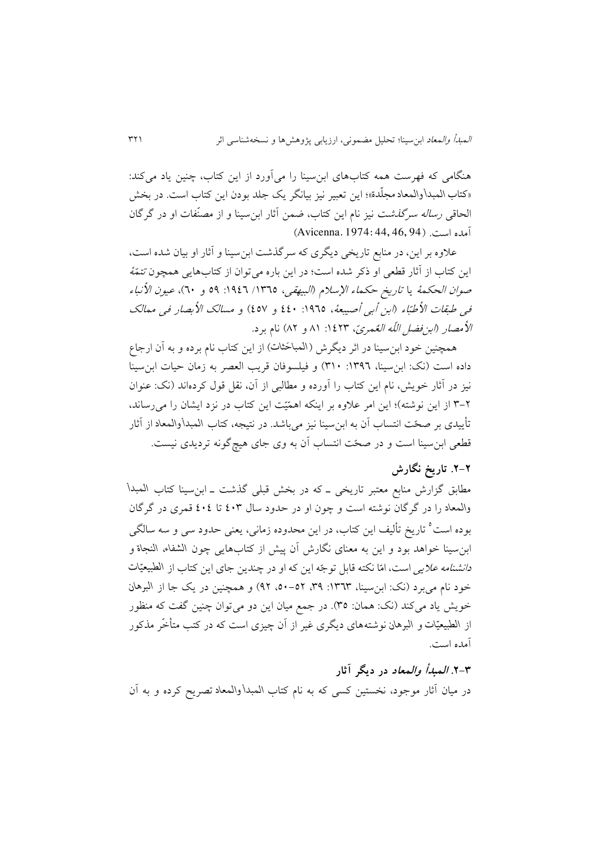هنگامی که فهرست همه کتابهای ابنسینا را میآورد از اين کتاب، چنین ياد میکند: «کتاب المبدأوالمعاد مجلدة»؛ اين تعبير نيز بيانگر يک جلد بودن اين کتاب است. در بخش ĭ الحاقی رساله سرگذشت نیز نام اين کتاب، ضمن آثار ابن سینا و از مصن فات او در گرگان آمده است. )94 46, 44, 1974: .Avicenna)

عالوه بر اين، در منابع تاريخی ديگری که سرگذشت ابنسینا و آثار او بیان شده است، اين کتاب از آثار قطعی او ذکر شده است؛ در اين باره می توان از کتابهايی همچون تتمّهٔ صو*ان الحکمهٔ* يا ت*اريخ حکماء الإسلام (البيهقی*، ١٣٦٥/ ١٩٤٦: ٥٩ و ٢٠)، *عیون الأنباء* فی طبقات الأطبّاء (ابن أبی أصیبعهٔ، ١٩٦٥: ٤٤٠ و ٤٥٧) و مسالک الأبصار فی ممالک الأمصار (ابن فضل اللّه العُمريّ، ١٤٢٣: ٨١ و ٨٢) نام برد.

همچنین خود ابن سینا در اثر دیگرش (المباحَثات) از این کتاب نام برده و به آن ارجاع داده است (نک: ابنِ سينا، ١٣٩٦: ٣١٠) و فيلسوفان قريب العصر به زمان حيات ابنِ سينا نیز در آثار خويش، نام اين کتاب را آورده و مطالبی از آن، نقل قول کردهاند )نک: عنوان ۲-۳ از اين نوشته)؛ اين امر علاوه بر اينکه اهمّيّت اين کتاب در نزد ايشان را میرساند، تأييدی بر صحّت انتساب آن به ابنِسينا نيز میباشد. در نتيجه، کتاب المبدأوالمعاد از آثار قطعی ابن سینا است و در صحّت انتساب آن به وی جای هیچ گونه تردیدی نیست.

### **.2-2 تاریخ نگارش**

مطابق گزارش منابع معتبر تاريخی ـ که در بخش قبلی گذشت ـ ابنسینا کتاب *المبدأ والمعاد* را در گرگان نوشته است و چون او در حدود سال 043 تا 040 قمری در گرگان بوده است<sup>ه</sup> تاريخ تأليف اين كتاب، در اين محدوده زمانی، يعنی حدود سی و سه سالگی ابنسینا خواهد بود و اين به معنای نگارش آن پیش از کتابهايی چون *الشفاء*، *النجاة* و د*انشنامه علايی* است، امّا نکته قابل توجّه اين که او در چندين جای اين کتاب از الطبيعيّات  خود نام میبرد )نک: ابنسینا، :6313 ،33 ،54-51 31( و همچنین در يک جا از *البرهان* خويش ياد میکند (نک: همان: ٣٥). در جمع ميان اين دو میتوان چنين گفت که منظور ز الطبیعیّات و البرهان نوشتههای دیگری غیر از آن چیزی است که در کتب متأخّر مذکور آمده است.

**.2-5 المبدأ والمعاد در دیگر آثار** در میان آثار موجود، نخستین کسی که به نام کتاب *المبدأ والمعاد* تصريح کرده و به آن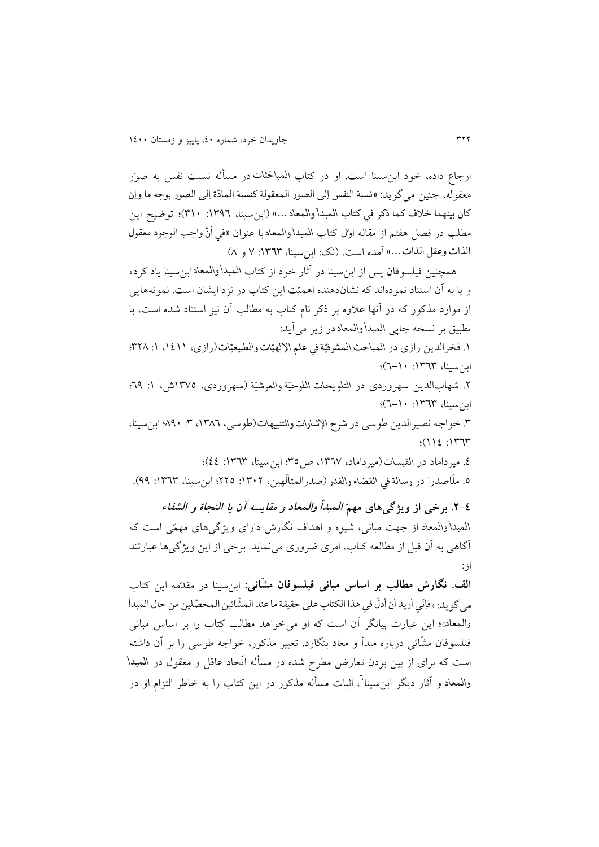ارجاع داده، خود ابن**سینا است. او در کتاب المباخثات در مسأله** نسبت نفس به صوَر معقوله، چنین میگويد: »نسبة النفس إلى الصور المعقولة کنسبة الماد ة إلى الصور بوجه ما وإن کان بینهما خالف کما ذکر في کتاب *المبدأ والمعاد* ...« )ابنسینا، :6331 364(؛ توضیح اين مطلب در فصل هفتم از مقاله اول کتاب المبدأوالمعاد با عنوان «في أنّ واجب الوجود معقول  $\ddot{\cdot}$ الذات وعقل الذات ...» آمده است. (نک: ابن سینا، ١٣٦٣: ٧ و ٨)

همچنین فیلسوفان پس از ابنسینا در آثار خود از کتاب *المبدأ والمعاد* ابنسینا ياد کرده و يا به آن استناد نمودهاند که نشان دهنده اهميّت اين کتاب در نزد ايشان است. نمونههايی از موارد مذکور که در آنها عالوه بر ذکر نام کتاب به مطالب آن نیز استناد شده است، با تطبیق بر نسخه چاپی *المبدأ والمعاد* در زير میآيد:

ا. فخرالدين رازي در المباحث المشرقيّة في علم الإلهيّات والطبيعيّات(رازي، ١٤١١، ١: ٣٢٨؛  ابنسینا، :6313 1-64(؛

۲. شهابالدین سهروردی در التلویحات اللوحیّة والعرشیّة (سهروردی، ۱۳۷۵ش، ۱: <del>۱</del>۹؛  ابنسینا، :6313 1-64(؛

.3 خواجه نصیرالدين طوسی در *شرح اإلشارات والتنبیهات* )طوسی، ،6331 :3 334؛ ابنسینا،  $(112 \cdot 1777$ 

.0 میرداماد در*القبسات* )میرداماد، ،6313 ص35؛ ابنسینا، :6313 00(؛

0. ملّاصدرا در رسالة في القضاء والقدر (صدرالمتألّهين، ١٣٠٢: ٢٢٥؛ ابنسینا، ١٣٦٣: ٩٩).

**.2-0 برخی از ویژگی ّ های مهم المبدأ والمعاد و مقایسه آن با النجاة <sup>و</sup>الشفاء** *المبدأ والمعاد* از جهت مبانی، شیوه و اهداف نگارش دارای ويژگی های مهم ی است که آگاهی به آن قبل از مطالعه کتاب، امری ضروری مینمايد. برخی از اين ويژگیها عبارتند از:

ا**لف. نگارش مطالب بر اساس مبانی فیلسوفان مشّائی:** ابن سینا در مقدّمه این کتاب مي گويد: «فإنّي أريد أن أدل في هذا الكتاب على حقيقة ما عند المشائين المحصّلين من حال المبدأ  $\ddot{\cdot}$ .<br>ا  $\overline{\phantom{a}}$ ֦֧ والمعاد«؛ اين عبارت بیانگر آن است که او میخواهد مطالب کتاب را بر اساس مبانی فیلسوفان مشّائی درباره مبدأ و معاد بنگارد. تعبیر مذکور، خواجه طوسی را بر آن داشته است که برای از بین بردن ت عارض مطرح شده در مسأله ات حاد عاقل و معقول در *المبدأ*  والمعاد و آثار ديگر ابنٍسينا<sup>٦</sup>، اثبات مسأله مذکور در اين کتاب را به خاطر التزام او در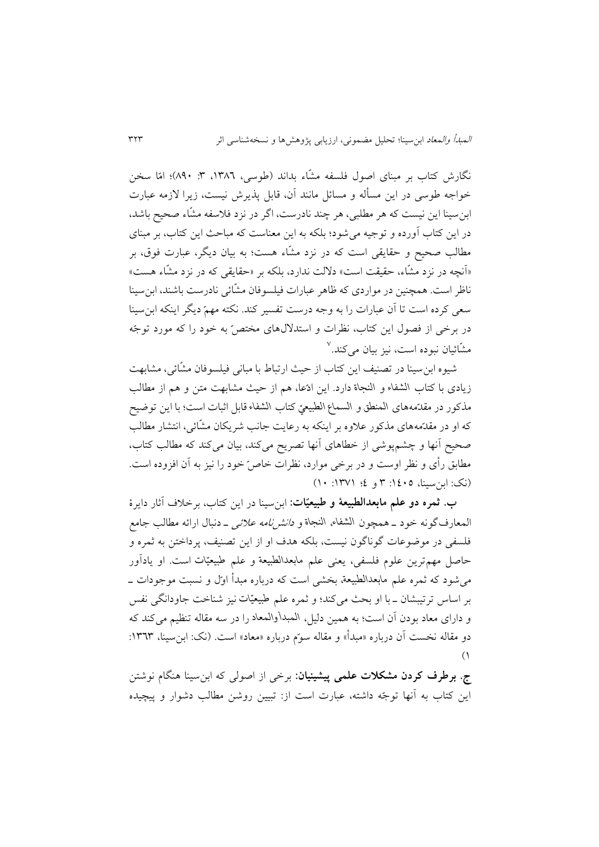نگارش کتاب بر مبنای اصول فلسفه مشّاء بداند (طوسی، ۱۳۸٦، ۳: ۸۹۰)؛ امّا سخن خواجه طوسی در اين مسأله و مسائل مانند آن، قابل پذيرش نیست، زيرا الزمه عبارت ابن سینا اين نیست که هر مطلبی، هر چند نادرست، اگر در نزد فالسفه مش اء صحیح باشد، در اين کتاب آورده و توجیه میشود؛ بلکه به اين معناست که مباحث اين کتاب، بر مبنای مطالب صحیح و حقایقی است که در نزد مشاء هست؛ به بیان دیگر، عبارت فوق، بر «آنچه در نزد مشّاء، حقیقت است» دلالت ندارد، بلکه بر «حقایقی که در نزد مشّاء هست» ناظر است. همچنین در مواردی که ظاهر عبارات فیلسوفان مشّائی نادرست باشند، ابن سینا سعی کرده است تا آن عبارات را به وجه درست تفسیر کند. نکته مهم ديگر اينکه ابنسینا در برخی از فصول این کتاب، نظرات و استدلال های مختصّ به خود را که مورد توجّه مشّائیان نبوده است، نیز بیان م*ی کند.* ``

شیوه ابن سینا در تصنیف اين کتاب از حیث ارتباط با مبانی فیلسوفان مش ائی، مشابهت زيادی با کتاب *الشفاء* و *النجاة* دارد. اين اد عا، هم از حیث مشابهت متن و هم از مطالب مذکور در مقد مههای *المنطق* و *السماع الطبیعي* کتاب *الشفاء* قابل اثبات است؛ با اين توضیح که او در مقدّمههای مذکور علاوه بر اينکه به رعايت جانب شريکان مشّائی، انتشار مطالب صحیح آنها و چشمپوشی از خطاهای آنها تصريح میکند، بیان میکند که مطالب کتاب، مطابق رأی و نظر اوست و در برخی موارد، نظرات خاص خود را نیز به آن افزوده است.  $(1 \cdot |YV \setminus \mathcal{X})$  (i)  $(1 \cdot |Y \setminus \mathcal{X})$  (i)

**ب. ثمره دو علم مابعدالطبیعة و ّ طبیعی ات:** ابنسینا در اين کتاب، برخالف آثار دايرة المعارفگونه خود ـ همچون *الشفاء*، *النجاة* و دانشنامه عالئی ـ دنبال ارائه مطالب جامع فلسفی در موضوعات گوناگون نیست، بلکه هدف او از اين تصنیف، پرداختن به ثمره و حاصل مهمترين علوم فلسفی، يعنی علم *مابعدالطبیعة* و علم *طبیعیات* است. او يادآور میشود که ثمره علم *مابعدالطبیعة* ، بخشی است که درباره مبدأ او ل و نسبت موجودات ـ بر اساس ترتیبشان ـ با او بحث میکند؛ و ثمره علم *طبیعیات* نیز شناخت جاودانگی نفس و دارای معاد بودن آن است؛ به همین دلیل، *المبدأ والمعاد* را در سه مقاله تنظیم میکند که دو مقاله نخست آن درباره «مبدأ» و مقاله سوّم درباره «معاد» است. (نک: ابن سینا، ۱۳٦۳:  $($ 

**ج. برطرف کردن مشکالت علمی پیشینیان:** برخی از اصولی که ابنسینا هنگام نوشتن اين کتاب به آنها توجّه داشته، عبارت است از: تبيين روشن مطالب دشوار و پيچيده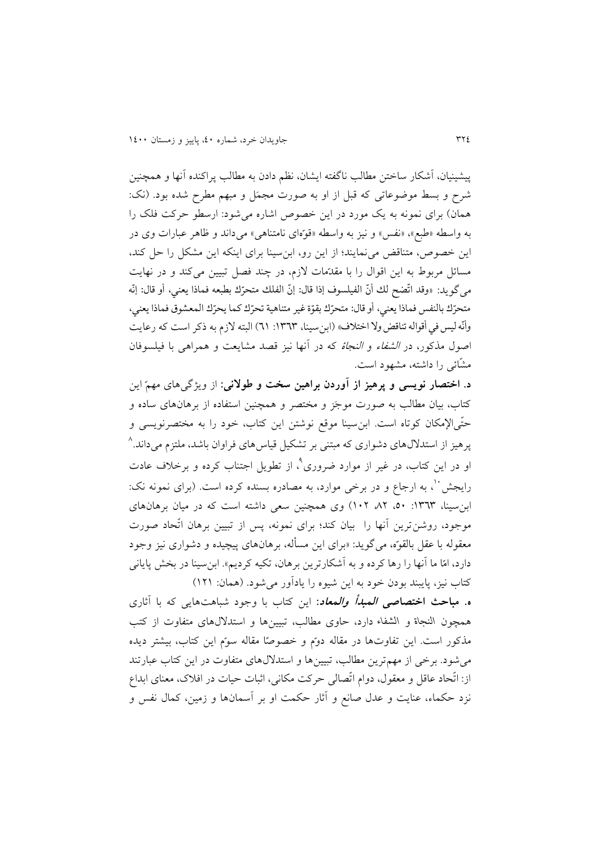پیشینیان، آشکار ساختن مطالب ناگفته ايشان، نظم دادن به مطالب پراکنده آنها و همچنین شرح و بسط موضوعاتی که قبل از او به صورت مجمَل و مبهم مطرح شده بود. (نک: همان) برای نمونه به يک مورد در اين خصوص اشاره می شود: ارسطو حرکت فلک را به واسطه «طبع»، «نفس» و نیز به واسطه «قوّهای نامتناهی» میداند و ظاهر عبارات وی در اين خصوص، متناقض مینمايند؛ از اين رو، ابنسینا برای اينکه اين مشکل را حل کند، مسائل مربوط به اين اقوال را با مقدمات لازم، در چند فصل تبیین میکند و در نهايت مى گويد: «وقد اتّضح لك أنّ الفيلسوف إذا قال: إنّ الفلك متحرّك بطبعه فماذا يعني، أو قال: إنّه  $\frac{1}{2}$ متحرّك بالنفس فماذا يعني، أو قال: متحرّك بقوّة غير متناهية تحرّك كما يحرّك المعشوق فماذا يعني، وأنّه ليس في أقواله تناقض ولا اختلاف» (ابنسينا، ١٣٦٣: ٦١) البته لازم به ذكر است كه رعايت ֦֧֦֧֦֧֦֧֦֧֦֧֦֧֦֧֦֧֦֧֦֧֦֧֦֧֦֧֦֧֟֝ اصول مذکور، در الشفاء و النجاة که در آنها نیز قصد مشايعت و همراهی با فیلسوفان مش ائی را داشته، مشهود است.

**د. اختصار نویسی و پرهیز از آوردن براهین سخت و طوالنی:** از ويژگی های مهم اين کتاب، بیان مطالب به صورت موجَز و مختصر و همچنین استفاده از برهانهای ساده و حتّىالإمکان کوتاه است. ابنِسینا موقع نوشتن این کتاب، خود را به مختصرنویسی و 3 پرهیز از استداللهای دشواری که مبتنی بر تشکیل قیاسهای فراوان باشد، ملتزم میداند. و در اين کتاب، در غير از موارد ضروری°، از تطويل اجتناب کرده و برخلاف عادت رایجش ``، به ارجاع و در برخی موارد، به مصادره بسنده کرده است. (برای نمونه نک: ابن سینا، ١٣٦٣: ٥٠، ٨٢ ،٦٢) وی همچنین سعی داشته است که در میان برهانهای موجود، روشن ترين آنها را بيان کند؛ برای نمونه، پس از تبيين برهان اتّحاد صورت معقوله با عقل بالقوّه، میگوید: «برای این مسأله، برهانهای پیچیده و دشواری نیز وجود دارد، امّا ما آنها را رها کرده و به آشکارترين برهان، تکيه کرديم». ابنسينا در بخش پايانی کتاب نیز، پايبند بودن خود به اين شیوه را يادآور میشود. )همان: 616(

**ه. مباحث اختصاصی المبدأ والمعاد:** اين کتاب با وجود شباهتهايی که با آثاری همچون *النجاة* و *الشفاء* دارد، حاوی مطالب، تبیینها و استداللهای متفاوت از کتب مذکور است. اين تفاوتها در مقاله دوم و خصوصًا مقاله سوم اين کتاب، بيشتر ديده میشود. برخی از مهمترين مطالب، تبیینها و استداللهای متفاوت در اين کتاب عبارتند از: اتّحاد عاقل و معقول، دوام اتّصالی حرکت مکانی، اثبات حیات در افلاک، معنای ابداع نزد حکماء، عنايت و عدل صانع و آثار حکمت او بر آسمانها و زمین، کمال نفس و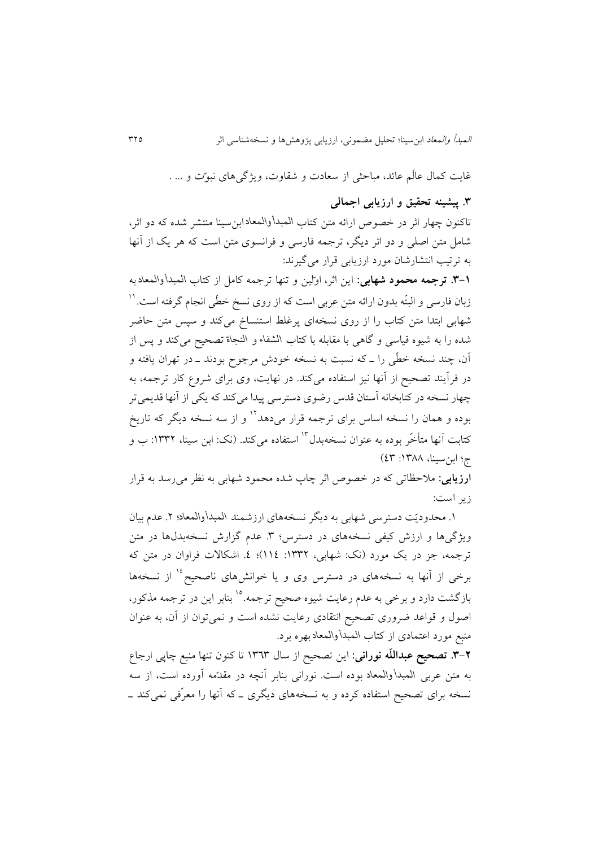غايت کمال عالَم عائد، مباحثی از سعادت و شقاوت، ويژگی های نبوّت و ... .

## **.5 پیشینه تحقیق و ارزیابی اجمالی**

تاکنون چهار اثر در خصوص ارائه متن کتاب *المبدأ والمعاد* ابنسینا منتشر شده که دو اثر، شامل متن اصلی و دو اثر ديگر، ترجمه فارسی و فرانسوی متن است که هر يک از آنها به ترتیب انتشارشان مورد ارزيابی قرار میگیرند:

**.5-0 ترجمه محمود شهابی:** اين اثر، او لین و تنها ترجمه کامل از کتاب *المبدأ والمعاد* به زبان فارسی و البتّه بدون ارائه متن عربی است که از روی نسخ خطّی انجام گرفته است. '' شهابی ابتدا متن کتاب را از روی نسخهای پرغلط استنساخ میکند و سپس متن حاضر شده را به شیوه قیاسی و گاهی با مقابله با کتاب *الشفاء* و *النجاة* تصحیح میکند و پس از آن، چند نسخه خط ی را ـ که نسبت به نسخه خودش مرجوح بودند ـ در تهران يافته و در فرآيند تصحیح از آنها نیز استفاده میکند. در نهايت، وی برای شروع کار ترجمه، به چهار نسخه در کتابخانه آستان قدس رضوی دسترسی پیدا میکند که یکی از آنها قدیمیتر بوده و همان را نسخه اساس برای ترجمه قرار میدهد<sup>۱۲</sup> و از سه نسخه دیگر که تاریخ کتابت اّنها متأخّر بوده به عنوان نسخهبدل™ استفاده میکند. (نک: ابن سینا، ۱۳۳۲: ب و ج؛ ابن سینا، ۱۳۸۸: ٤٣)

**ارزیابی:** مالحظاتی که در خصوص اثر چاپ شده محمود شهابی به نظر میرسد به قرار زير است:

6 . محدودي ت دسترسی شهابی به ديگر نسخههای ارزشمند *المبدأ والمعاد*؛ .1 عدم بیان ويژگیها و ارزش کیفی نسخههای در دسترس؛ ٣. عدم گزارش نسخهبدلها در متن ترجمه، جز در يک مورد (نک: شهابی، ١٣٣٢: ١١٤)؛ ٤. اشکالات فراوان در متن که برخی از آنها به نسخههای در دسترس وی و یا خوانشهای ناصحیح <sup>۱۶</sup> از نسخهها بازگشت دارد و برخی به عدم رعایت شیوه صحیح ترجمه.<sup>۱۵</sup> بنابر این در ترجمه مذکور، اصول و قواعد ضروری تصحیح انتقادی رعايت نشده است و نمیتوان از آن، به عنوان منبع مورد اعتمادی از کتاب *المبدأ والمعاد* بهره برد.

**.5-2 تصحیح عبدالل ه نورانی:** اين تصحیح از سال 6313 تا کنون تنها منبع چاپی ارجاع به متن عربی *المبدأ والمعاد* بوده است. نورانی بناب ر آنچه در مقد مه آورده است، از سه نسخه برای تصحیح استفاده کرده و به نسخه های ديگری ـ که آنها را معر فی نمیکند ـ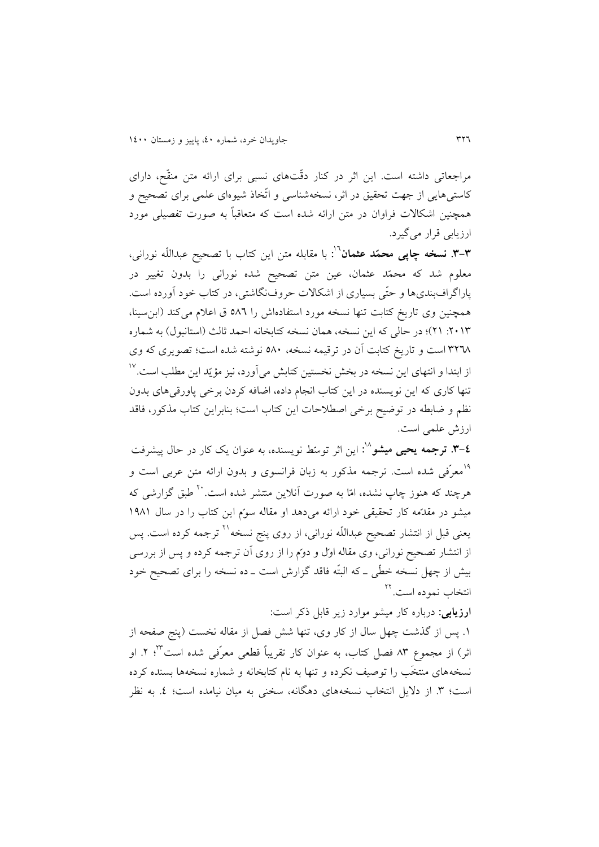مراجعاتی داشته است. اين اثر در کنار دقّتهای نسبی برای ارائه متن منقّح، دارای کاستی هایی از جهت تحقیق در اثر، نسخهشناسی و اتّخاذ شیوهای علمی برای تصحیح و همچنین اشکاالت فراوان در متن ارائه شده است که متعاقبا به صورت تفصیلی مورد ارزيابی قرار میگیرد.

**۳-۳. نسخه چاپی محمّد عثمان**<sup>٦٠</sup>: با مقابله متن این کتاب با تصحیح عبداللّه نورانی، معلوم شد که محمّد عثمان، عین متن تصحیح شده نورانی را بدون تغییر در پاراگرافبندیها و حتّی بسیاری از اشکالات حروفنگاشتی، در کتاب خود آورده است. همچنین وی تاريخ کتابت تنها نسخه مورد استفادهاش را 531 ق اعالم میکند )ابنسینا، :1463 16(؛ در حالی که اين نسخه، همان نسخه کتابخانه احمد ثالث )استانبول( به شماره 3113 است و تاريخ کتابت آن در ترقیمه نسخه، 534 نوشته شده است؛ تصويری که وی  $^{\circ\circ}$ از ابتدا و انتهای اين نسخه در بخش نخستين کتابش می $\vec{ }$ ورد، نيز مؤيّد اين مطلب است تنها کاری که اين نويسنده در اين کتاب انجام داده، اضافه کردن برخی پاورقیهای بدون نظم و ضابطه در توضیح برخی اصطالحات اين کتاب است؛ بنابراين کتاب مذکور، فاقد ارزش علمی است.

**.5-۲ ترجمه یحیی میشو**^`: این اثر توسٌط نویسنده، به عنوان یک کار در حال پیشرفت <sup>۱۹</sup>معرّفی شده است. ترجمه مذکور به زبان فرانسوی و بدون ارائه متن عربی است و هرچند که هنوز چاپ نشده، امّا به صورت آنلاین منتشر شده است.<sup>۲۰</sup> طبق گزارشی که میشو در مقدّمه کار تحقیقی خود ارائه می دهد او مقاله سوم این کتاب را در سال ۱۹۸۱ یعنی قبل از انتشار تصحیح عبداللّه نورانی، از روی پنج نسخه<sup>۲۱</sup> ترجمه کرده است. پس از انتشار تصحیح نورانی، وی مقاله اول و دوم را از روی آن ترجمه کرده و پس از بررسی بیش از چهل نسخه خطّی ــ که البتّه فاقد گزارش است ــ ده نسخه را برای تصحیح خود نتخاب نموده است.<sup>۲۲</sup>

**ارزیابی:** درباره کار میشو موارد زير قابل ذکر است:

.6 پس از گذشت چهل سال از کار وی، تنها شش فصل از مقاله نخست )پنج صفحه از اثر) از مجموع ۸۳ فصل کتاب، به عنوان کار تقریباً قطعی معرّفی شده است<sup>۲۳</sup>؛ ۲. او نسخههای منتخَب را توصیف نکرده و تنها به نام کتابخانه و شماره نسخهها بسنده کرده است؛ ٣. از دلایل انتخاب نسخههای دهگانه، سخنی به میان نیامده است؛ ٤. به نظر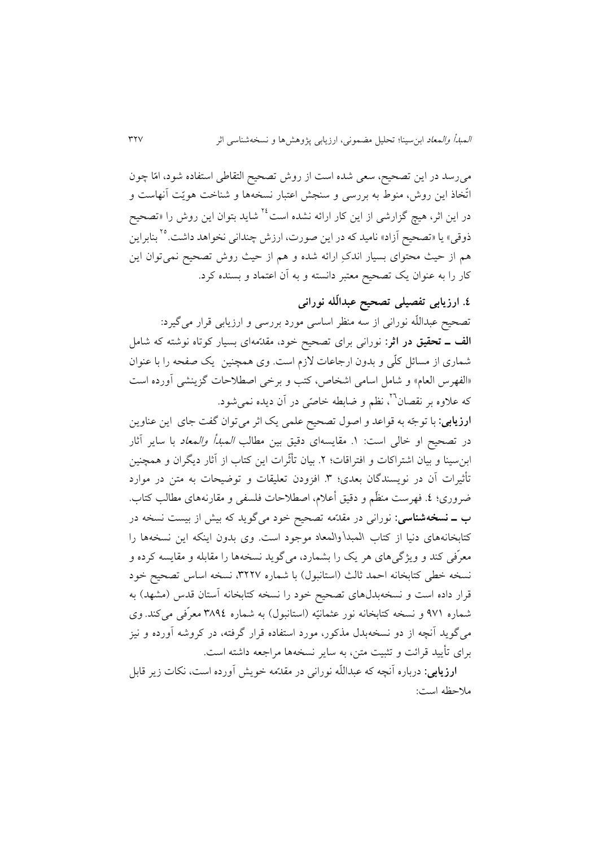میرسد در اين تصحیح، سعی شده است از روش تصحیح التقاطی استفاده شود، ام ا چون اتّخاذ اين روش، منوط به بررسی و سنجش اعتبار نسخهها و شناخت هويّت آنهاست و در اين اثر، هيچ گزارشی از اين کار ارائه نشده است<sup>٢٤</sup> شايد بتوان اين روش را «تصحيح ذوقی» يا «تصحيح آزاد» ناميد كه در اين صورت، ارزش چندانی نخواهد داشت.<sup>۲۰</sup> بنابراين هم از حیث محتوای بسیار اندک ارائه شده و هم از حیث روش تصحیح نمیتوان اين کار را به عنوان يک تصحیح معتبر دانسته و به آن اعتماد و بسنده کرد.

# **.0 ارزیابی تفصیلی تصحیح عبدال له نورانی**

تصحیح عبداللّه نورانی از سه منظر اساسی مورد بررسی و ارزیابی قرار میگیرد: **الف ـ تحقیق در اثر:** نورانی برای تصحیح خود، مقد مهای بسیار کوتاه نوشته که شامل شماری از مسائل کلّی و بدون ارجاعات لازم است. وی همچنین یک صفحه را با عنوان «الفهرس العام» و شامل اسامی اشخاص، کتب و برخی اصطلاحات گزينشی آورده است که علاوه بر نقصان<sup>۲</sup>٬ نظم و ضابطه خاص<sub>ّی</sub> در آن ديده نمی شود.

**ارزیابی**: با توجّه به قواعد و اصول تصحیح علمی یک اثر میتوان گفت جای این عناوین در تصحیح او خال<sub>ی</sub> است: ۱. مقایسهای دقیق بین مطالب *المبدأ والمعاد* با سایر آثار ابنسینا و بیان اشتراکات و افتراقات؛ 1 . بیان تأث رات اين کتاب از آثار ديگران و همچنین تأثیرات آن در نویسندگان بعدی؛ ۳. افزودن تعلیقات و توضیحات به متن در موارد ضروری؛ ٤. فهرست منظَّم و دقیق أعلام، اصطلاحات فلسفی و مقارنههای مطالب کتاب. **ب ـ نسخهشناسی:** نورانی در مقد مه تصحیح خود میگويد که بیش از بیست نسخه در کتابخانههای دنیا از کتاب *المبدأ والمعاد* موجود است. وی بدون اينکه اين نسخهها را معر فی کند و ويژگیهای هر يک را بشمارد، میگويد نسخهها را مقابله و مقايسه کرده و نسخه خطی کتابخانه احمد ثالث )استانبول( با شماره ،3113 نسخه اساس تصحیح خود قرار داده است و نسخهبدلهای تصحیح خود را نسخه کتابخانه آستان قدس (مشهد) به شماره ۹۷۱ و نسخه کتابخانه نور عثمانیّه (استانبول) به شماره ۳۸۹٤ معرّفی میکند. وی میگويد آنچه از دو نسخهبدل مذکور، مورد استفاده قرار گرفته، در کروشه آورده و نیز برای تأيید قرائت و تثبیت متن، به ساير نسخهها مراجعه داشته است.

<mark>ارزیابی</mark>: درباره آنچه که عبداللّه نورانی در مقدّمه خويش آورده است، نکات زير قابل مالحظه است: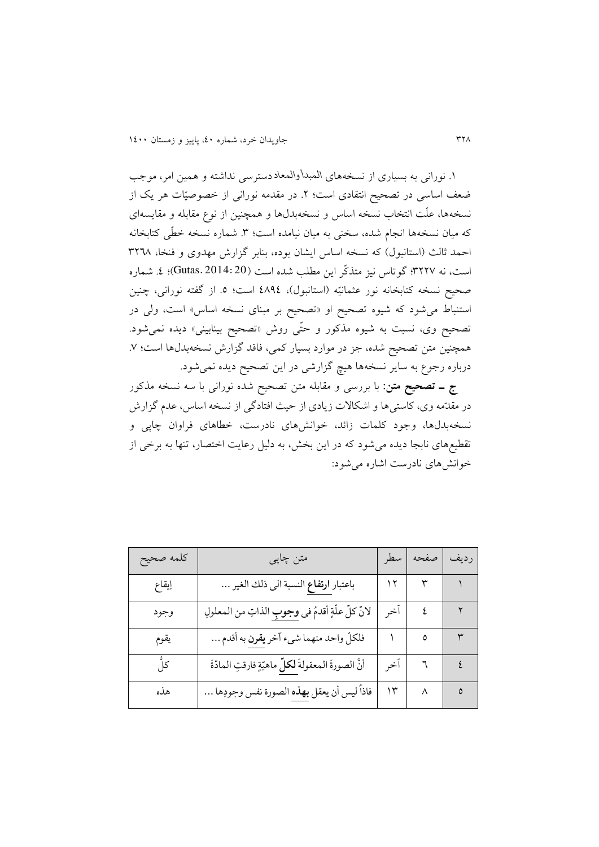.6 نورانی به بسیاری از نسخههای *المبدأ والمعاد* دسترسی نداشته و همین امر، موجب ضعف اساسی در تصحیح انتقادی است؛ ۲. در مقدمه نورانی از خصوصیّات هر یک از نسخهها، علّت انتخاب نسخه اساس و نسخهبدلها و همچنین از نوع مقابله و مقایسهای که میان نسخهها انجام شده، سخنی به میان نیامده است؛ ۳. شماره نسخه خطّی کتابخانه احمد ثالث (استانبول) که نسخه اساس ايشان بوده، بنابر گزارش مهدوی و فنخا، ٣٢٦٨ است، نه ٣٢٢٧؛ گوتاس نیز متذکّر این مطلب شده است (Gutas. 2014: 20)؛ ٤. شماره صحیح نسخه کتابخانه نور عثمانیّه (استانبول)، ٤٨٩٤ است؛ ٥. از گفته نورانی، چنین استنباط می شود که شیوه تصحیح او «تصحیح بر مبنای نسخه اساس» است، ولی در تصحیح وی، نسبت به شیوه مذکور و حتّی روش «تصحیح بینابینی» دیده نمیشود. همچنین متن تصحیح شده، جز در موارد بسیار کمی، فاقد گزارش نسخهبدلها است؛ ٧. درباره رجوع به ساير نسخهها هیچ گزارشی در اين تصحیح ديده نمیشود.

**ج ـ تصحیح متن:** با بررسی و مقابله متن تصحیح شده نورانی با سه نسخه مذکور در مقدّمه وی، کاستیها و اشکالات زيادی از حيث افتادگی از نسخه اساس، عدم گزارش نسخهبدلها، وجود کلمات زائد، خوانشهای نادرست، خطاهای فراوان چاپی و تقطیعهای نابجا ديده میشود که در اين بخش، به دلیل رعايت اختصار، تنها به برخی از خوانشهای نادرست اشاره میشود:

| كلمه صحيح | متن چاپی                                             | سطر   | صفحه       | رديف         |
|-----------|------------------------------------------------------|-------|------------|--------------|
| إيقاع     | باعتبار ا <b>رتفاع</b> النسبة الى ذلك الغير          |       |            |              |
| وجود      | لانِّ كلِّ علَّةٍ أقدمُ في وجوبِ الذاتِ من المعلولِ  | ا آخر | $\epsilon$ | $\mathbf{r}$ |
| يقوم      | فلكلِّ واحد منهما شيء آخر يقرن به أقدم               |       | ٥          | $\mathsf{r}$ |
| کلِّ      | أنَّ الصورةَ المعقولةَ لكلِّ ماهيّةٍ فارقتِ المادّةَ | أخر   |            | $7$ $2$      |
| هذه       | فاذاً ليس أن يعقل بهذه الصورة نفس وجودِها …          | ۱۳    | $\wedge$ 0 |              |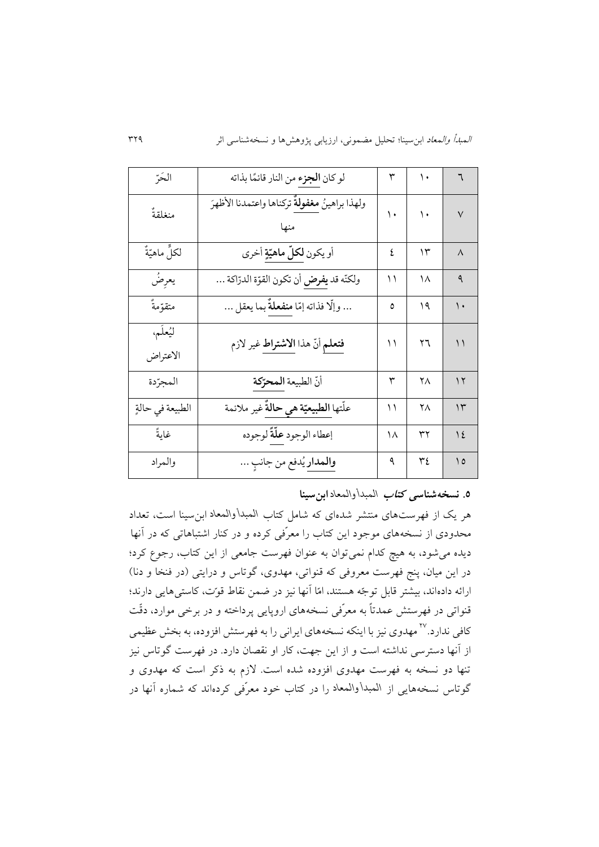| الحَرِّ              | لو كان <b>الجزء</b> من النار قائمًا بذاته      | ٣  | ١. | ٦                        |
|----------------------|------------------------------------------------|----|----|--------------------------|
| منغلقةً              | ولهذا براهينُ مغفولةٌ تركناها واعتمدنا الأظهرَ | ۱. | ۱. | $\vee$                   |
| لكلٍّ ماهيّةٌ        | أو يكون <b>لكلّ ماهيّةٍ</b> أخرى               | ٤  | ۱۳ | $\Lambda$                |
| يعرِضُ               | ولكنّه قد <b>يفرض</b> أن تكون القوّة الدرّاكة  | ۱۱ | ۱۸ | ٩                        |
| متقوّمةٌ             | وإلّا فذاته إمّا <mark>منفعلةٌ</mark> بما يعقل | ٥  | ۱۹ | ۱.                       |
| ليُعلَم،<br>الاعتراض | فتعلم أنّ هذا الاشتراط غير لازم                | ۱۱ | ۲٦ | $\backslash$             |
| المجرّدة             | أنّ الطبيعة المحرّكة                           | ٣  | ۲٨ | $\gamma$                 |
| الطبيعة في حالةٍ     | علّتها <b>الطبيعيّة هي حالةٌ</b> غير ملائمة    | ۱۱ | ۲٨ | $\gamma$                 |
| غايةً                | إعطاء الوجود علّةً لوجوده                      | ۱۸ | ٣٢ | $\frac{1}{2}$            |
| والمراد              | <mark>والمدار</mark> يُدفع من جانبِ            | ٩  | ٣٤ | $\overline{\phantom{a}}$ |

**.3 نسخهشناسی کتاب** *المبدأ والمعاد* **ابنسینا**

هر يک از فهرستهای منتشر شدهای که شامل کتاب *المبدأ والمعاد* ابنسینا است، تعداد محدودی از نسخه های موجود اين کتاب را معر فی کرده و در کنار اشتباهاتی که در آنها ديده میشود، به هیچ کدام نمیتوان به عنوان فهرست جامعی از اين کتاب، رجوع کرد؛ در اين ميان، پنج فهرست معروفی که قنواتی، مهدوی، گوتاس و درايتی (در فنخا و دنا) ارائه دادهاند، بیشتر قابل توجّه هستند، امّا آنها نیز در ضمن نقاط قوّت، کاستی هایی دارند؛ قنواتی در فهرستش عمدتا به معر فی نسخه های اروپايی پرداخته و در برخی موارد، دق ت کافی ندارد.<sup>۲۷</sup> مهدوی نیز با اینکه نسخههای ایرانی را به فهرستش افزوده، به بخش عظیمی از آنها دسترسی نداشته است و از اين جهت، کار او نقصان دارد. در فهرست گوتاس نیز تنها دو نسخه به فهرست مهدوی افزوده شده است. الزم به ذکر است که مهدوی و گوتاس نسخههايی از *المبدأ والمعاد* را در کتاب خود معر فی کردهاند که شماره آنها در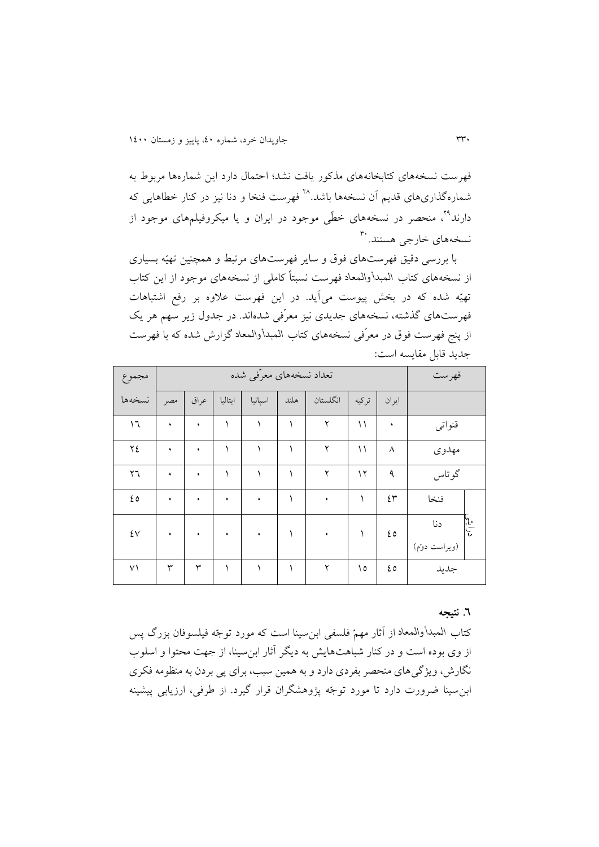فهرست نسخههای کتابخانههای مذکور يافت نشد؛ احتمال دارد اين شمارهها مربوط به شمارهگذاریهای قدیم آن نسخهها باشد.<sup>۲۸</sup> فهرست فنخا و دنا نیز در کنار خطاهایی که دارند°<sup>۲</sup>، منحصر در نسخههای خطّی موجود در ایران و یا میکروفیلمهای موجود از نسخههای خارج<sub>ی</sub> هستند. <sup>۳۰</sup>

با بررسی دقیق فهرستهای فوق و سایر فهرستهای مرتبط و همچنین تهیّه بسیاری از نسخههای کتاب *المبدأ والمعاد* فهرست نسبتا کاملی از نسخههای موجود از اين کتاب تهیّه شده که در بخش پیوست میآید. در این فهرست علاوه بر رفع اشتباهات فهرستهای گذشته، نسخه های جديدی نیز معر فی شدهاند. در جدول زير سهم هر يک از پنج فهرست فوق در معر فی نسخههای کتاب *المبدأ والمعاد* گزارش شده که با فهرست جديد قابل مقايسه است:

| مجموع               |     |      |           | تعداد نسخههای معرّفی شده |      |                      |       |          | فهرست                |  |
|---------------------|-----|------|-----------|--------------------------|------|----------------------|-------|----------|----------------------|--|
| نسخهها              | مصر | عراق | ايتاليا   | اسپانیا                  | هلند | انگلستان             | تركيه | ايران    |                      |  |
| ۱٦                  | ٠   | ٠    |           |                          |      | ۲                    | ۱۱    | ٠        | قنواتبي              |  |
| ٢٤                  | ٠   | ٠    |           |                          |      | ۲                    | ۱۱    | $\wedge$ | مهدوى                |  |
| ٢٦                  | ٠   | ٠    |           |                          |      | ۲                    | ۱۲    | ٩        | گوتاس                |  |
| ٤٥                  | ٠   | ٠    | ٠         | ٠                        |      | ٠                    |       | ٤٣       | فنخا                 |  |
| $\mathfrak{t} \vee$ | ٠   | ٠    | $\bullet$ | ٠                        |      | ٠                    |       | ٤٥       | درانية<br>م<br>دنا   |  |
| ۷۱                  | ٣   | ٣    | ١         |                          |      | $\mathbf{\breve{y}}$ | ۱٥    | ٤٥       | (ويراست دوم)<br>جديد |  |

#### **.3 نتیجه**

کتاب المبدأ والمعاد از آثار مهمّ فلسفی ابن سینا است که مورد توجّه فیلسوفان بزرگ پس از وی بوده است و در کنار شباهتهايش به ديگر آثار ابنسینا، از جهت محتوا و اسلوب نگارش، ويژگیهای منحصر بفردی دارد و به همین سبب، برای پی بردن به منظومه فکری ابن سینا ضرورت دارد تا مورد توجّه پژوهشگران قرار گیرد. از طرفی، ارزیابی پیشینه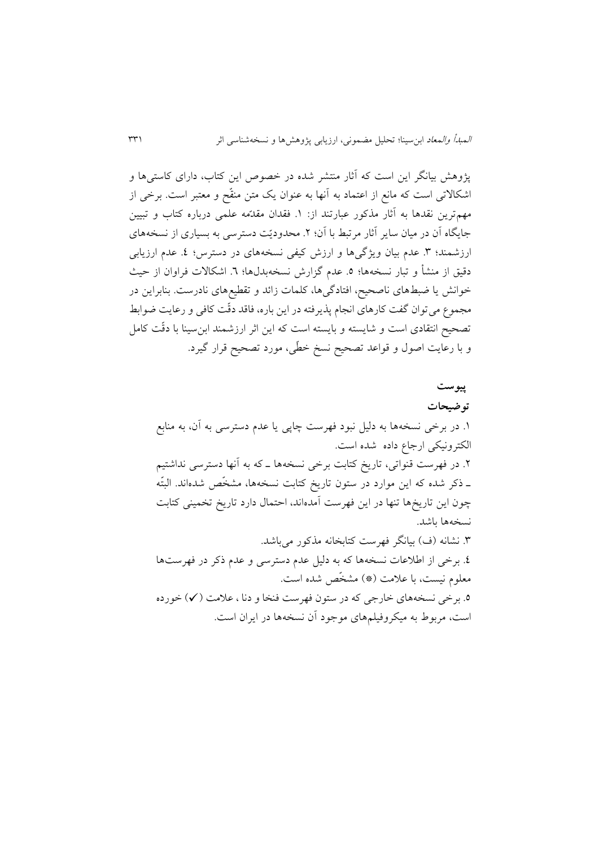پژوهش بیانگر اين است که آثار منتشر شده در خصوص اين کتاب، دارای کاستیها و اشکالاتی است که مانع از اعتماد به آنها به عنوان یک متن منقّح و معتبر است. برخی از مهمترين نقدها به آثار مذکور عبارتند از: ۱. فقدان مقدّمه علمی درباره کتاب و تبيين جايگاه آن در میان ساير آثار مرتبط با آن؛ 1 . محدودي ت دسترسی به بسیاری از نسخههای ارزشمند؛ ٣. عدم بیان ویژگیها و ارزش کیفی نسخههای در دسترس؛ ٤. عدم ارزیابی دقیق از منشأ و تبار نسخهها؛ ٥. عدم گزارش نسخهبدل۵ا؛ ٦. اشکالات فراوان از حیث خوانش يا ضبطهای ناصحیح، افتادگیها، کلمات زائد و تقطیعهای نادرست. بنابراين در مجموع می توان گفت کارهای انجام پذيرفته در اين باره، فاقد دقّت کافی و رعايت ضوابط تصحیح انتقادی است و شايسته و بايسته است که اين اثر ارزشمند ابنسینا با دق ت کامل و با رعایت اصول و قواعد تصحیح نسخ خطّی، مورد تصحیح قرار گیرد.

**پیوست توضیحات** .6 در برخی نسخهها به دلیل نبود فهرست چاپی يا عدم دسترسی به آن، به منابع الکترونیکی ارجاع داده شده است. .1 در فهرست قنواتی، تاريخ کتابت برخی نسخهها ـ که به آنها دسترسی نداشتیم ـ ذکر شده که اين موارد در ستون تاريخ کتابت نسخهها، مشخّص شدهاند. البتّه چون اين تاريخها تنها در اين فهرست آمدهاند، احتمال دارد تاريخ تخمینی کتابت نسخهها باشد. .3 نشانه )ف( بیانگر فهرست کتابخانه مذکور میباشد. .0 برخی از اطالعات نسخهها که به دلیل عدم دسترسی و عدم ذکر در فهرستها معلوم نیست، با علامت (\*) مشخّص شده است. .5 برخی نسخههای خارجی که در ستون فهرست فنخا و دنا ، عالمت ) )خورده است، مربوط به میکروفیلمهای موجود آن نسخهها در ايران است.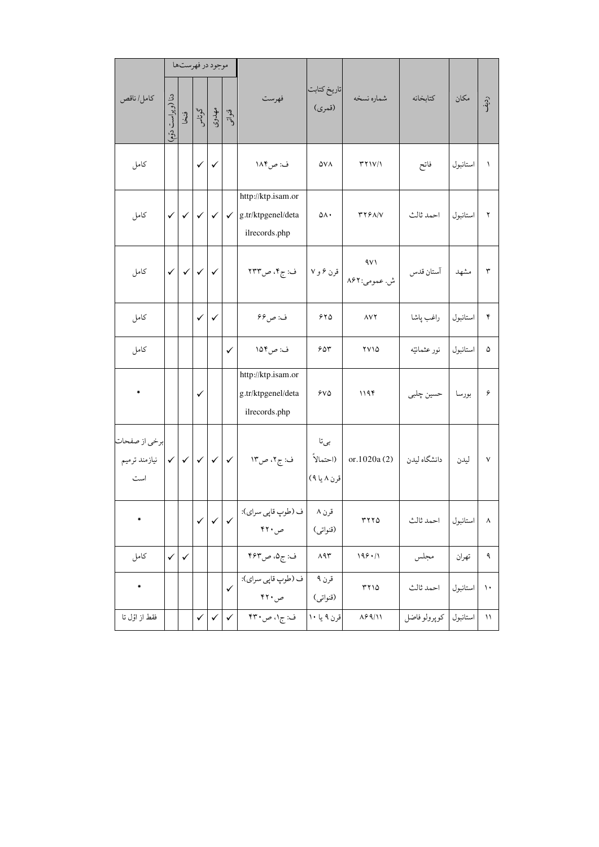|                                       |                          |              |              | موجود در فهرستها |              |                                                           |                                  |                                                   |                   |          |                       |
|---------------------------------------|--------------------------|--------------|--------------|------------------|--------------|-----------------------------------------------------------|----------------------------------|---------------------------------------------------|-------------------|----------|-----------------------|
| كامل/ناقص                             | دنا (ويراست دقم          | ون<br>ک      |              | گوتاس<br>مهدوی   | وشن<br>موات  | فهرست                                                     | تاريخ كتابت<br>(قمري)            | شماره نسخه                                        | كتابخانه          | مكان     | رديف                  |
| كامل                                  |                          |              | $\checkmark$ | $\checkmark$     |              | ف: ص١٨۴                                                   | ۵۷۸                              | Y Y V                                             | فاتح              | استانبول | $\lambda$             |
| كامل                                  | $\checkmark$             | $\checkmark$ | $\checkmark$ | $\checkmark$     | $\checkmark$ | http://ktp.isam.or<br>g.tr/ktpgenel/deta<br>ilrecords.php | ۵٨٠                              | rr9A/V                                            | احمد ثالث         | استانبول | ٢                     |
| كامل                                  | $\checkmark$             | $\checkmark$ | $\checkmark$ | $\checkmark$     |              | ف: ج۴، ص۲۳۳                                               |                                  | ۹۷۱<br>ش. عمومی:۸۶۲   قرن ۶ و ۷  <br>ش. عمومی:۸۶۲ | آستان قدس         | مشهد     | $\mathbf{\breve{r}}$  |
| كامل                                  |                          |              | $\checkmark$ | $\checkmark$     |              | ف: ص۶۶                                                    | ۶۲۵                              | $\Lambda V$ ٢                                     | راغب پاشا         | استانبول | ۴                     |
| كامل                                  |                          |              |              |                  | ✓            | ف: ص۱۵۴                                                   | ۶۵۳                              | ۲۷۱۵                                              | نور عثمانيّه      | استانبول | ۵                     |
|                                       |                          |              | $\checkmark$ |                  |              | http://ktp.isam.or<br>g.tr/ktpgenel/deta<br>ilrecords.php | 8VQ                              | ۱۱۹۴                                              | بورسا   حسین چلبی |          | ۶                     |
| برخي از صفحات<br>نيازمند ترميم<br>است | $\vert \checkmark \vert$ | $\checkmark$ | $\checkmark$ | $\checkmark$     | $\checkmark$ | ف: ج٢، ص١٣                                                | بىتا<br>(احتمالاً<br>قرن ۸ یا ۹) | or. $1020a(2)$                                    | دانشگاه لیدن      | ليدن     | $\checkmark$          |
|                                       |                          |              | $\checkmark$ | $\checkmark$     |              | ف (طوپ قاپي سراي):<br>ص ۴۲۰                               | قرن ۸<br>(قنواتى)                | $rrr\Delta$                                       | احمد ثالث         | استانبول | $\boldsymbol{\wedge}$ |
| كامل                                  | $\checkmark$             | $\checkmark$ |              |                  |              | ف: ج۵، ص۴۶۳                                               | $\wedge$ 97                      | 199.11                                            | مجلس              | تهران    | ٩                     |
|                                       |                          |              |              |                  | $\checkmark$ | ف (طوپ قاپي سراي):<br>ص ۴۲۰                               | قرن ۹<br>(قنواتى)                | rr10                                              | احمد ثالث         | استانبول | $\mathcal{N}$         |
| فقط از اوّل تا                        |                          |              | $\checkmark$ | $\checkmark$     | $\checkmark$ | ف: ج۱، ص۳۰                                                | قرن ۹ یا ۱۰                      | $\Lambda$ ۶۹/۱۱                                   | گوپرولوفاضل       | استانبول | ۱۱                    |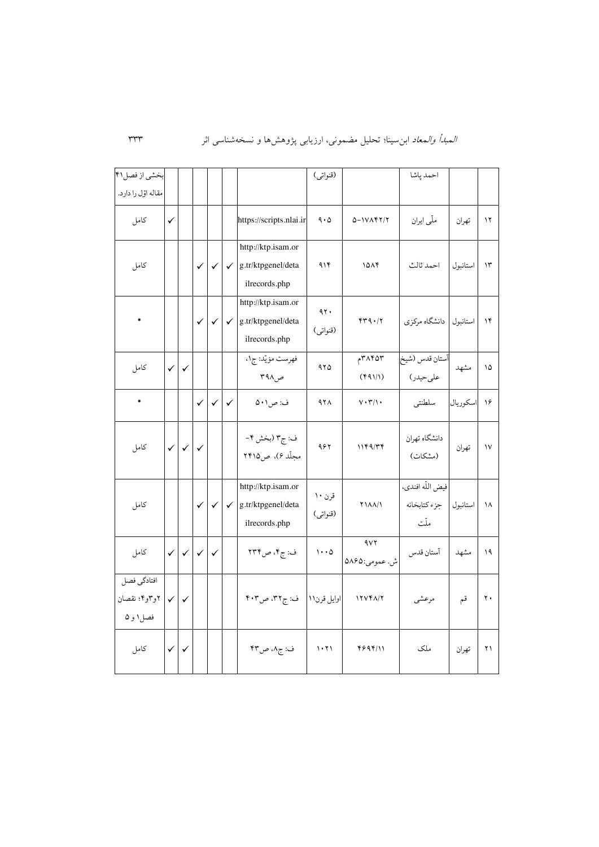| بخشي از فصل١٩                           |              |              |              |                                        |              |                                                           | (قنواتى)              |                               | احمد پاشا                                |          |                |
|-----------------------------------------|--------------|--------------|--------------|----------------------------------------|--------------|-----------------------------------------------------------|-----------------------|-------------------------------|------------------------------------------|----------|----------------|
| مقاله اوّل را دارد.                     |              |              |              |                                        |              |                                                           |                       |                               |                                          |          |                |
| كامل                                    | $\checkmark$ |              |              |                                        |              | https://scripts.nlai.ir                                   | 9.0                   | $0 - 1V\Lambda f T/T$         | ملّی ایران                               | تهران    | $\gamma$       |
| كامل                                    |              |              | $\checkmark$ | $\checkmark$                           | $\checkmark$ | http://ktp.isam.or<br>g.tr/ktpgenel/deta<br>ilrecords.php | 919                   | 1014                          | احمد ثالث                                | استانبول | $\mathcal{N}$  |
| $\ast$                                  |              |              | $\checkmark$ | $\checkmark$                           | $\checkmark$ | http://ktp.isam.or<br>g.tr/ktpgenel/deta<br>ilrecords.php | 47.<br>(قنواتى)       | 44.17                         | استانبول دانشگاه مرکزی                   |          | ۱۴             |
| كامل                                    | $\checkmark$ | $\checkmark$ |              |                                        |              | فهرست مؤيّد: ج١،<br>ص۹۸ ۳                                 | ۹۲۵                   | $\gamma$ ۲۸۴۵۳<br>(11)        | آستان قدس (شيخ<br>علىحيدر)               | مشهد     | ۱۵             |
| $\ast$                                  |              |              | $\checkmark$ | $\checkmark$                           | $\checkmark$ | ف: ص١٠١                                                   | 928                   | $V \cdot \Upsilon / \Upsilon$ | سلطنتي                                   | اسكوريال | ۱۶             |
| كامل                                    | $\checkmark$ | $\checkmark$ | $\checkmark$ |                                        |              | ف: ج۳ (بخش ۴-<br>مجلّد ۶)، ص۱۵۲۵                          | ۹۶۲                   | 1189/T                        | دانشگاه تهران<br>(مشكات)                 | تهران    | $\mathsf{V}$   |
| كامل                                    |              |              |              | $\checkmark$ $\checkmark$ $\checkmark$ |              | http://ktp.isam.or<br>g.tr/ktpgenel/deta<br>ilrecords.php | قرن ۱۰<br>(قنواتي)    | <b><i>TIAA</i></b> /1         | فيض اللّه افندي،<br>جزء كتابخانه<br>ملّت | استانبول | ١٨             |
| كامل                                    | $\checkmark$ | $\checkmark$ | $\checkmark$ | $\checkmark$                           |              | ف: ج۴، ص۲۳۴                                               | $1 \cdot \cdot \circ$ | 4VY<br>ش. عمومي:۵۸۶۵          | آستان قدس                                | مشهد     | ۱۹             |
| افتادگي فصل<br>۲و۳و۴؛ نقصان<br>فصل۱ و ۵ | $\checkmark$ | $\checkmark$ |              |                                        |              | ف: ج۳۲، ص۴۰۳                                              | اوايل قرن١١           | 17VFA/T                       | مرعشى                                    | قم       | $\mathbf{r}$ . |
| كامل                                    | $\checkmark$ | $\checkmark$ |              |                                        |              | ف: ج٨، ص٣٣                                                | 1.71                  | 4894/11                       | ملک                                      | تهران    | ۲۱             |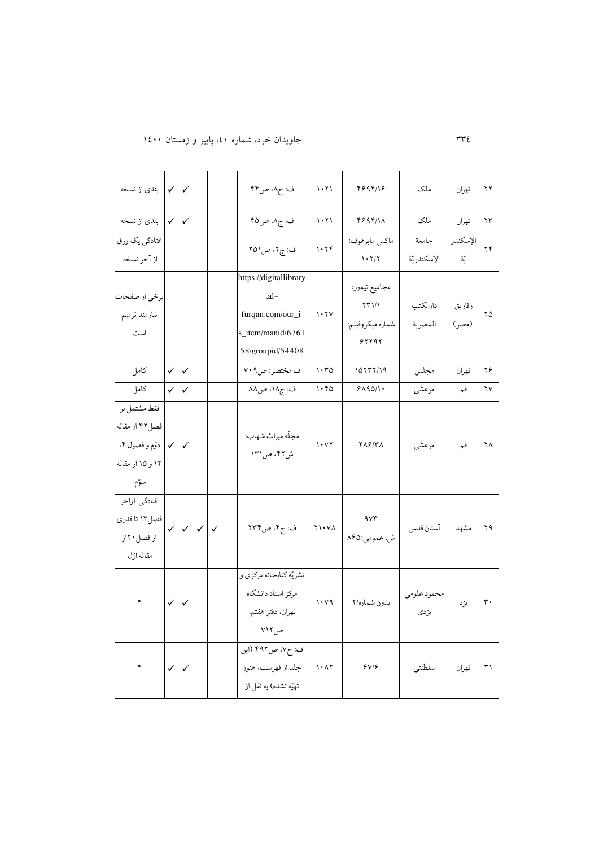# 330 جاويدان خرد، شماره ،04 پايیز و زمستان 6044

| √ بندي از نسخه     |              | ✓            |              |  | ف: ج٨، ص۴۴                     | ۱۰۲۱                            | 4894118                      | ملک         | تهران    | $\gamma \gamma$      |
|--------------------|--------------|--------------|--------------|--|--------------------------------|---------------------------------|------------------------------|-------------|----------|----------------------|
| بندي از نسخه       | $\checkmark$ | $\checkmark$ |              |  | ف: ج۸، ص۴۵                     | 1.71                            | 4894/11                      | ملک         | تهران    | $\gamma\gamma$       |
| افتادگی یک ورق     |              |              |              |  | ف: ج۲، ص۵۱                     | 1.74                            | ماكس مايرهوف:                | جامعة       | الإسكندر | ۲۴                   |
| از آخر نسخه        |              |              |              |  |                                |                                 | 1.7/7                        | الإسكندريّة | يّة      |                      |
|                    |              |              |              |  | https://digitallibrary<br>-al- |                                 | مجاميع تيمور:                |             |          |                      |
| برخي از صفحات      |              |              |              |  |                                |                                 | $\Upsilon \Upsilon \Upsilon$ | دارالكتب    | زقازيق   |                      |
| نيازمند ترميم      |              |              |              |  | furqan.com/our_i               | $\mathbf{y} \cdot \mathbf{y}$   | شماره ميكروفيلم:             | المصرية     | (مصر)    | ۲۵                   |
| است                |              |              |              |  | s_item/manid/6761              |                                 | 51191                        |             |          |                      |
|                    |              |              |              |  | 58/groupid/54408               |                                 |                              |             |          |                      |
| كامل               | $\checkmark$ | $\checkmark$ |              |  | ف مختصر: ص٢٠٩                  | 1.70                            | 10177/19                     | مجلس        | تهران    | ۲۶                   |
| كامل               | $\checkmark$ | $\checkmark$ |              |  | ف: ج۱۸، ص۸۸                    | ۱۰۴۵                            | 9190/1                       | مرعشى       | قم       | ٢٧                   |
| فقط مشتمل بر       |              |              |              |  |                                |                                 |                              |             |          |                      |
| فصل٢٢ از مقاله     |              |              |              |  | مجلّه ميراث شهاب:              |                                 |                              |             |          |                      |
| √   دوّم و فصول ۴، |              | $\checkmark$ |              |  | ش۴۲، ص۱۳۱                      | $\cdots$                        | <b>TAS/ TA</b>               | مرعشى       | قم       | ۲۸                   |
| ۱۲ و ۱۵ از مقاله   |              |              |              |  |                                |                                 |                              |             |          |                      |
| سوّم               |              |              |              |  |                                |                                 |                              |             |          |                      |
| افتادگی اواخر      |              |              |              |  |                                |                                 |                              |             |          |                      |
| فصل ۱۳ تا قدري     | $\checkmark$ | $\checkmark$ | $\checkmark$ |  | ف: ج۴، ص۲۳۴                    | $Y \cup Y \wedge$               | $4v\mathfrak{r}$             | آستان قدس   | مشهد     | ۲۹                   |
| از فصل ۲۰از        |              |              |              |  |                                |                                 | ش. عمومي:۸۶۵                 |             |          |                      |
| مقاله اوّل         |              |              |              |  |                                |                                 |                              |             |          |                      |
|                    |              |              |              |  | نشريّه كتابخانه مركزي و        |                                 |                              |             |          |                      |
|                    | $\checkmark$ | $\checkmark$ |              |  | مركز اسناد دانشگاه             | $\mathcal{N} \cdot \mathcal{N}$ | بدون شماره/٢                 | محمود علومى |          | $\mathbf r$ .        |
|                    |              |              |              |  | تهران، دفتر هفتم،              |                                 |                              | يزدى        | يزد      |                      |
|                    |              |              |              |  | ص ۷۱۲                          |                                 |                              |             |          |                      |
|                    |              |              |              |  | ف: ج۷، ص۴۹۲ (این               |                                 |                              |             |          |                      |
|                    | $\checkmark$ |              |              |  | جلد از فهرست، هنوز             | $\mathcal{N}\cdot\mathcal{N}$   | 8V                           | سلطنتي      | تهران    | $\Upsilon \setminus$ |
|                    |              |              |              |  | تهيّه نشده) به نقل از          |                                 |                              |             |          |                      |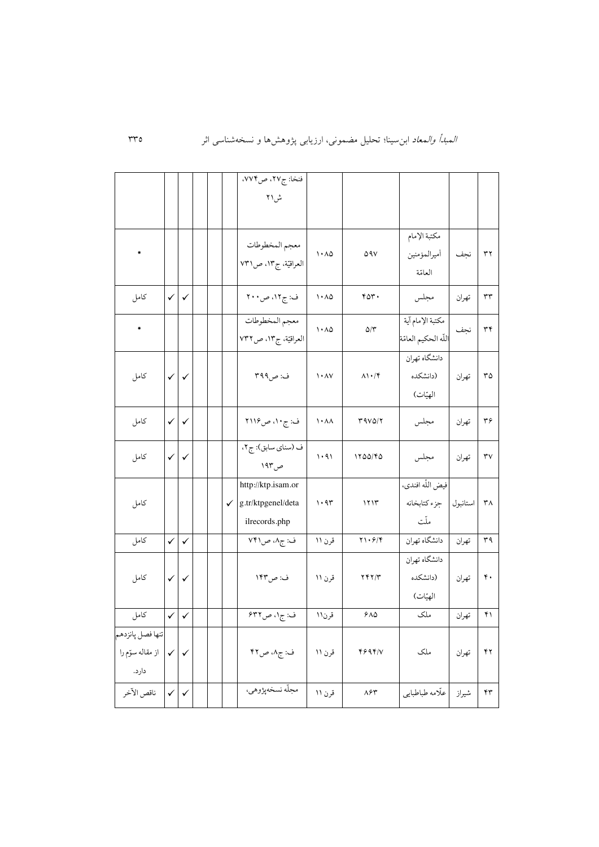|                  |              |              |  | فنخا: ج۲۷، ص۷۷۴،                |                           |                                  |                      |          |                      |
|------------------|--------------|--------------|--|---------------------------------|---------------------------|----------------------------------|----------------------|----------|----------------------|
|                  |              |              |  | ش\۲                             |                           |                                  |                      |          |                      |
|                  |              |              |  |                                 |                           |                                  |                      |          |                      |
|                  |              |              |  |                                 |                           |                                  | مكتبة الإمام         |          |                      |
|                  |              |              |  | معجم المخطوطات                  | $\cdot \wedge \Delta$     | ۵۹۷                              | أميرالمؤمنين         | نجف      | $\uparrow \uparrow$  |
|                  |              |              |  | العراقيّة، ج١٣، ص١٣١            |                           |                                  | العامّة              |          |                      |
| كامل             | $\checkmark$ | $\checkmark$ |  | ف: ج۱۲، ص۲۰۰                    | ۱۰۸۵                      | ۴۵۳.                             | مجلس                 | تهران    | $\tau\tau$           |
| *                |              |              |  | معجم المخطوطات                  |                           |                                  | مكتبة الإمام آية     |          |                      |
|                  |              |              |  | العراقيّة، ج١٣، ص٧٣٢            | ۱۰۸۵                      | $\Delta/\Upsilon$                | اللّه الحكيم العامّة | نجف      | ٣۴                   |
|                  |              |              |  |                                 |                           |                                  | دانشگاه تهران        |          |                      |
| كامل             | $\checkmark$ | $\checkmark$ |  | ف: ص۳۹۹                         | $\lambda \cdot \lambda V$ | $\Lambda$ \ $\cdot$ / $\Upsilon$ | (دانشكده             | تهران    | ٣۵                   |
|                  |              |              |  |                                 |                           |                                  | الهيّات)             |          |                      |
| كامل             | $\checkmark$ | $\checkmark$ |  | ف: ج۱۰، ص۱۱۶                    | ۱۰۸۸                      | Y9V0/7                           | مجلس                 | تهران    | ۳۶                   |
| كامل             | $\checkmark$ | $\checkmark$ |  | ف (سناي سابق): ج٢،              | ۱۰۹۱                      | 1200/40                          | مجلس                 | تهران    | ٣٧                   |
|                  |              |              |  | ص ۱۹۳                           |                           |                                  |                      |          |                      |
|                  |              |              |  | http://ktp.isam.or              |                           |                                  | فيض اللّه افندي،     |          |                      |
| كامل             |              |              |  | $\checkmark$ g.tr/ktpgenel/deta | 1.97                      | 1717                             | جزء كتابخانه         | استانبول | $\mathsf{r}_\Lambda$ |
|                  |              |              |  | ilrecords.php                   |                           |                                  | ملّت                 |          |                      |
| كامل             | $\checkmark$ | $\checkmark$ |  | ف: ج۸، ص۱۴۱                     | قرن ۱۱                    | $Y \setminus 5/8$                | دانشگاه تهران        | تهران    | ۳۹                   |
|                  |              |              |  |                                 |                           |                                  | دانشگاه تهران        |          |                      |
| كامل             | $\checkmark$ | $\checkmark$ |  | ف: ص١۴٣                         | قرن ۱۱                    | YYY/Y                            | (دانشكده             | تهران    | $\mathfrak{r}$ .     |
|                  |              |              |  |                                 |                           |                                  | الهيّات)             |          |                      |
| كامل             | $\checkmark$ | $\checkmark$ |  | ف: ج۱، ص۶۳۲                     | قرن۱۱                     | ۶۸۵                              | ملک                  | تهران    | ۴۱                   |
| تنها فصل پانزدهم |              |              |  |                                 |                           |                                  |                      |          |                      |
| از مقاله سوّم را | $\checkmark$ | $\checkmark$ |  | ف: ج٨، ص٤٢                      | قرن ۱۱                    | 46941                            | ملک                  | تهران    | $\mathbf{y}$         |
| دارد.            |              |              |  |                                 |                           |                                  |                      |          |                      |
| ناقص الآخر       | $\checkmark$ | $\checkmark$ |  | مجلّه نسخهپژوهي،                | قرن ۱۱                    | ۸۶۳                              | علّامه طباطبايي      | شيراز    | ۴۳                   |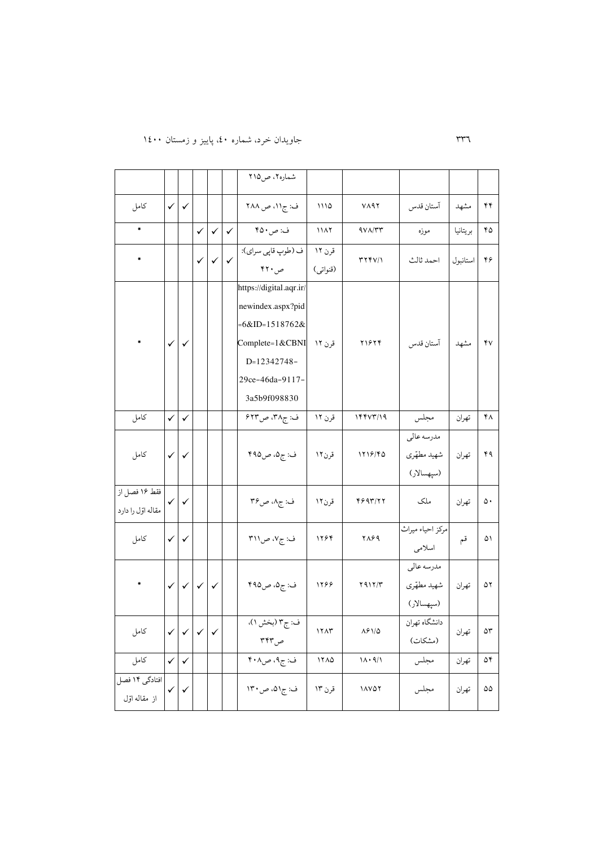# 331 جاويدان خرد، شماره ،04 پايیز و زمستان 6044

|                   |              |              |                           |              |                           | شماره۲، ص۱۵             |          |                                            |                  |          |    |
|-------------------|--------------|--------------|---------------------------|--------------|---------------------------|-------------------------|----------|--------------------------------------------|------------------|----------|----|
| كامل              | $\checkmark$ | $\checkmark$ |                           |              |                           | ف: ج۱۱، ص ۲۸۸           | ۱۱۱۵     | ۷۸۹۲                                       | آستان قدس        | مشهد     | ۴۴ |
| $\ast$            |              |              | $\checkmark$              | $\checkmark$ | $\checkmark$              | ف: ص٥٠ ۴٥               | 1117     | 971/27                                     | موزه             | بريتانيا | ۴۵ |
|                   |              |              | $\checkmark$              |              | $\checkmark$ $\checkmark$ | ف (طوپ قاپي سراي):      | قرن ۱۲   | 374V/1                                     | احمد ثالث        | استانبول | ۴۶ |
|                   |              |              |                           |              |                           | ص ۴۲۰                   | (قنواتى) |                                            |                  |          |    |
|                   |              |              |                           |              |                           | https://digital.aqr.ir/ |          |                                            |                  |          |    |
|                   |              |              |                           |              |                           | newindex.aspx?pid       |          |                                            |                  |          |    |
|                   |              |              |                           |              |                           | $=6&ID=1518762&$        |          |                                            |                  |          |    |
|                   | $\checkmark$ | $\checkmark$ |                           |              |                           | Complete=1&CBNI         | قرن ۱۲   | ۲۱۶۲۴                                      | آستان قدس        | مشهد     | ۴v |
|                   |              |              |                           |              |                           | D=12342748-             |          |                                            |                  |          |    |
|                   |              |              |                           |              |                           | 29ce-46da-9117-         |          |                                            |                  |          |    |
|                   |              |              |                           |              |                           | 3a5b9f098830            |          |                                            |                  |          |    |
| كامل              | $\checkmark$ | $\checkmark$ |                           |              |                           | ف: ج۳۸، ص۶۲۳            | قرن ۱۲   | 144V7/19                                   | مجلس             | تهران    | ۴۸ |
|                   |              |              |                           |              |                           |                         |          |                                            | مدرسه عالى       |          |    |
| كامل              | $\checkmark$ | $\checkmark$ |                           |              |                           | ف: ج۵، ص۹۵ ۴            | قرن۱۲    | 1218/40                                    | شهيد مطهّري      | تهران    | ۴۹ |
|                   |              |              |                           |              |                           |                         |          |                                            | (سپهسالار)       |          |    |
| فقط ۱۶ فصل از     | ✓            | ✓            |                           |              |                           | ف: ج۸، ص۳۶              | قرن۱۲    | 4997/77                                    | ملک              | تهران    | ۵۰ |
| مقاله اول را دارد |              |              |                           |              |                           |                         |          |                                            |                  |          |    |
| كامل              | $\checkmark$ | $\checkmark$ |                           |              |                           | ف: ج۷، ص۱۱۳             | ۱۲۶۴     | 2889                                       | مركز احياء ميراث | قم       | ۵۱ |
|                   |              |              |                           |              |                           |                         |          |                                            | اسلامى           |          |    |
|                   |              |              |                           |              |                           |                         |          |                                            | مدرسه عالى       |          |    |
|                   | $\checkmark$ |              | $\checkmark$ $\checkmark$ | $\checkmark$ |                           | ف: ج۵، ص۴۹۵             | 1266     | $Y$ 91 $Y$                                 | شهيد مطهّري      | تهران    | ۵۲ |
|                   |              |              |                           |              |                           |                         |          |                                            | (سپھسالار)       |          |    |
| كامل              | $\checkmark$ |              |                           | $\checkmark$ |                           | ف: ج۳ (بخش ۱).          | 17AT     | $\Lambda \mathcal{S} \mathcal{N} / \Delta$ | دانشگاه تهران    | تهران    | ۵٣ |
|                   |              |              |                           |              |                           | ص۳۴۳                    |          |                                            | (مشكات)          |          |    |
| كامل              | $\checkmark$ | $\checkmark$ |                           |              |                           | ف: ج۹، ص۴۰۸             | 17A0     | $\Lambda \cdot \mathfrak{q}/\Lambda$       | مجلس             | تهران    | ۵۴ |
| افتادگی ۱۴ فصل    | $\checkmark$ | ✓            |                           |              |                           | ف: ج۵۱، ص۱۳۰            | قرن ۱۳   | $\lambda$                                  | مجلس             | تهران    | ۵۵ |
| از مقاله اوّل     |              |              |                           |              |                           |                         |          |                                            |                  |          |    |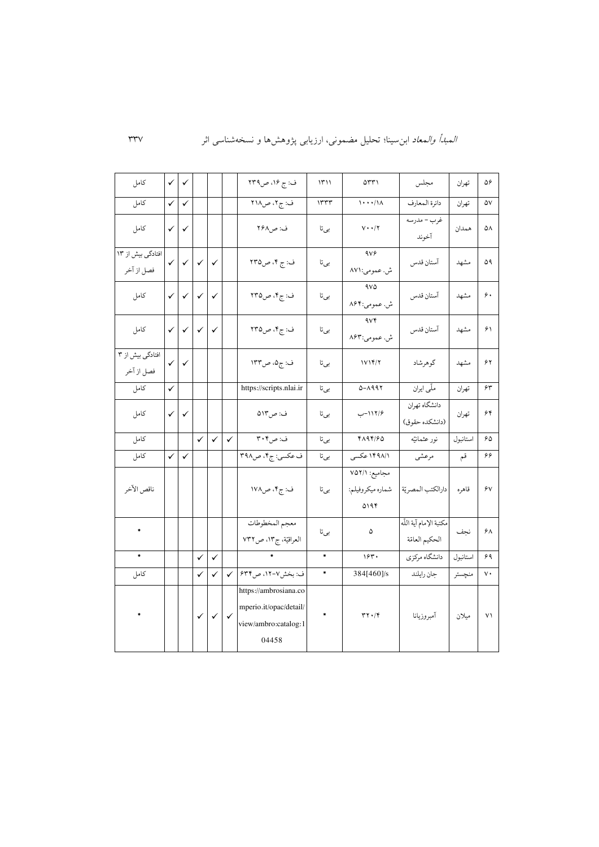| كامل                            | $\checkmark$ | ✓            |              |                           |              | ف: ج ۱۶، ص۲۳۹                                                                    | 1511                 | $\Delta \tau \tau$                        | مجلس                                    | تهران    | ۵۶                   |
|---------------------------------|--------------|--------------|--------------|---------------------------|--------------|----------------------------------------------------------------------------------|----------------------|-------------------------------------------|-----------------------------------------|----------|----------------------|
| كامل                            | ✓            | ✓            |              |                           |              | ف: ج۲، ص۲۱۸                                                                      | ١٣٣٣                 | $1 \cdot \cdot \cdot / 1$                 | دائرة المعارف                           | تهران    | ۵۷                   |
| كامل                            | ✓            | ✓            |              |                           |              | ف: ص۲۶۸                                                                          | بىتا                 | $V \cdot \cdot / \tau$                    | غرب - مدرسه<br>آخوند                    | همدان    | ۵۸                   |
| افتادگی بیش از ١٣<br>فصل از آخر | $\checkmark$ | $\checkmark$ | $\checkmark$ | $\checkmark$              |              | ف: ج ۴، ص۲۳۵                                                                     | بىتا                 | 4Vf<br>ش. عمومی:۸۷۱                       | آستان قدس                               | مشهد     | ۵۹                   |
| كامل                            | $\checkmark$ | $\checkmark$ | $\checkmark$ | $\checkmark$              |              | ف: ج۴، ص۲۳۵                                                                      | بىتا                 | 970<br>ش. عمومي:۸۶۴                       | آستان قدس                               | مشهد     | $\hat{\mathbf{y}}$ . |
| كامل                            | $\checkmark$ | $\checkmark$ | $\checkmark$ | $\checkmark$              |              | ف: ج۴، ص۲۳۵                                                                      | بىتا                 | 4vF<br>ش. عمومي:۸۶۳                       | آستان قدس                               | مشهد     | ۶۱                   |
| افتادگی بیش از ۳<br>فصل از آخر  | ✓            | $\checkmark$ |              |                           |              | ف: ج۵، ص۱۳۳                                                                      | بىتا                 | 1V14/7                                    | گوهرشاد                                 | مشهد     | 57                   |
| كامل                            | ✓            |              |              |                           |              | https://scripts.nlai.ir                                                          | بىتا                 | $0 - \Lambda$ 992                         | ملّى ايران                              | تهران    | ۶۳                   |
| كامل                            | ✓            | $\checkmark$ |              |                           |              | ف: ص١٣٥                                                                          | بىتا                 | ۱۱۲/۶–ب                                   | دانشگاه تهران<br>(دانشكده حقوق)         | تهران    | ۶۴                   |
| كامل                            |              |              | $\checkmark$ | $\checkmark$              | $\checkmark$ | ف: ص۴۰۴                                                                          | بىتا                 | 4194/60                                   | نور عثمانيّه                            | استانبول | ۶۵                   |
| كامل                            | $\checkmark$ | $\checkmark$ |              |                           |              | ف عکسی: ج۴، ص۳۹۸                                                                 | بىتا                 | ۱۴۹۸/۱ عکسی                               | مرعشى                                   | قم       | ۶۶                   |
| ناقص الأخر                      |              |              |              |                           |              | ف: ج۴، ص۱۷۸                                                                      | بىتا                 | مجاميع: ٧٥٢/١<br>شماره ميكروفيلم:<br>۵۱۹۴ | دارالكتب المصريّة                       | قاهره    | ۶ν                   |
| ۰                               |              |              |              |                           |              | معجم المخطوطات<br>العراقيّة، ج١٣، ص٧٣٢                                           | بىتا                 | ۵                                         | مكتبة الإمام آية اللّه<br>الحكيم العامة | نجف      | ۶۸                   |
| $\ast$                          |              |              | $\checkmark$ | $\checkmark$              |              |                                                                                  | $\ast$               | ۱۶۳۰                                      | دانشگاه مركزي                           | استانبول | ۶۹                   |
| كامل                            |              |              | $\checkmark$ | ✓                         | $\checkmark$ | ف: بخش٧-١٢، ص۶۳۴                                                                 | ۰                    | 384[460]/s                                | جان رايلند                              | منچستر   | $_{\rm V}$ .         |
|                                 |              |              | $\checkmark$ | $\checkmark$ $\checkmark$ |              | https://ambrosiana.co<br>mperio.it/opac/detail/<br>view/ambro:catalog:1<br>04458 | $\ddot{\phantom{1}}$ | $\mathbf{r} \mathbf{v} \cdot \mathbf{r}$  | آمبروزيانا                              | ميلان    | $V \setminus$        |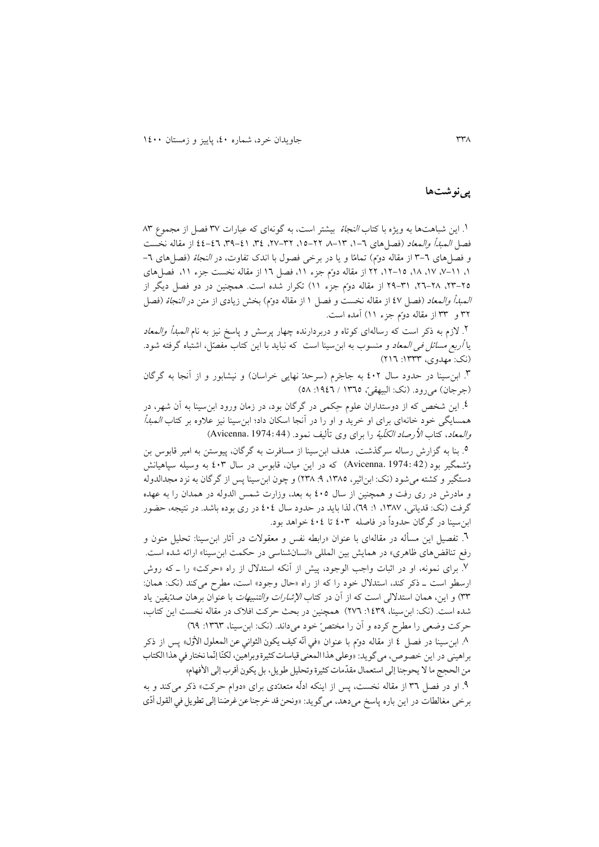#### **پینوشتها**

.6 اين شباهتها به ويژه با کتاب النجاة بیشتر است، به گونهای که عبارات 33 فصل از مجموع 33 فصل *المبدأ والمعاد* (فصل های ٦-١، ٦٣-٢٨-١٥، ٢٢-٢٧، ٣٤، ٤١-٢٩، ٤٤-٤٤ از مقاله نخست و فصل های ٦-٣ از مقاله دوّم) تمامًا و يا در برخی فصول با اندک تفاوت، در *النجاة* (فصل های ٦-،6 ،3-66 ،63 ،63 ،61-65 11 از مقاله دو م جزء ،66 فصل 61 از مقاله نخست جزء ،66 فصلهای ۲۵–۲۲، ۲۸–۲۲، ۳۱–۲۹ از مقاله دوًم جزء ۱۱) تکرار شده است. همچنین در دو فصل دیگر از ا*لـمبدأ والـمعاد (*فصل ٤٧ از مقاله نخست و فصل ١ از مقاله دوم) بخش زيادی از متن در *النجاة* (فصل 31 و 33 از مقاله دو م جزء 66( آمده است.

.1 الزم به ذکر است که رسالهای کوتاه و دربردارنده چهار پرسش و پاسخ نیز به نام المبدأ والمعاد يا *أربع مسائل في المعاد* و منسوب به ابن سينا است كه نبايد با اين كتاب مفصّل، اشتباه گرفته شود. )نک: مهدوی، :6333 161(

۳. ابنِسینا در حدود سال ٤٠٢ به جاجَرم (سرحدّ نهایی خراسان) و نیشابور و از آنجا به گرگان (جرجان) می رود. (نک: البیهقی، ١٣٦٥ / ١٩٤٦: ٥٨)

.0 اين شخص که از دوستداران علوم ح کمی در گرگان بود، در زمان ورود ابنسینا به آن شهر، در همسايگی خود خانهای برای او خريد و او را در آنجا اسکان داد؛ ابنٍسينا نيز علاوه بر کتاب *المبدأ* و*المعاد*، کتاب *الأرصاد الکلّية ر*ا برای وی تأليف نمود. (44:44 Avicenna.)

.5 بنا به گزارش رساله سرگذشت، هدف ابنسینا از مسافرت به گرگان، پیوستن به امیر قابوس بن و شمگیر بود )42 1974: .Avicenna )که در اين میان، قابوس در سال 043 به وسیله سپاهیانش دستگیر و کشته می شود (نک: ابناثیر، ۱۳۸۵، ۹: ۲۳۸) و چون ابن سینا پس از گرگان به نزد مجدالدوله و مادرش در ری رفت و همچنین از سال 045 به بعد، وزارت شمس الدوله در همدان را به عهده گرفت (نک: قديانی، ۱۳۸۷، ۱: ٦٩)، لذا بايد در حدود سال ٤٠٤ در ری بوده باشد. در نتيجه، حضور ابن سینا در گرگان حدودا در فاصله 043 تا 040 خواهد بود.

.1 تفصیل اين مسأله در مقالهای با عنوان »رابطه نفس و معقوالت در آثار ابنسینا: تحلیل متون و رفع تناقضهای ظاهری» در همايش بين المللی «انسانشناسی در حکمت ابنِسينا» ارائه شده است. .3 برای نمونه، او در اثبات واجب الوجود، پیش از آنکه استدالل از راه »حرکت« را ـ که روش ارسطو است ـ ذکر کند، استدلال خود را که از راه «حال وجود» است، مطرح میکند (نک: همان: ٣٣) و اين، همان استدلال<sub>ی</sub> است که از آن در کتاب *الإشارات والتنبیهات* با عنوان برهان صد يقين ياد شده است. )نک: ابنسینا، :6033 131( همچنین در بحث حرکت افالک در مقاله نخست اين کتاب، حرکت وضعی را مطرح کرده و آن را مختصّ خود میداند. (نک: ابنسینا، ١٣٦٣: ٦٩)

۸. ابنِسينا در فصل ٤ از مقاله دومّ با عنوان «في أنّه کيف يکون الثواني عن المعلول الأوّل» پس از ذکر ă  $\ddot{\cdot}$ براهینی در این خصوص، می گوید: «وعلى هذا المعنى قیاسات کثیرة وبراهین، لکنّا إنّما نختار في هذا الکتاب من الحجج ما لا يحوجنا إلى استعمال مقدّمات كثيرة وتحليل طويل، بل يكون أقرب إلى الأفهام»  $\frac{1}{1}$ 

۹. او در فصل ٣٦ از مقاله نخست، پس از اينکه ادلّه متعدّدي براي «دوام حرکت» ذکر ميکند و به برخی مغالطات در اين باره پاسخ میدهد، میگويد: »ونحن قد خرجناعن غرضنا إلى تطویل في القول أدی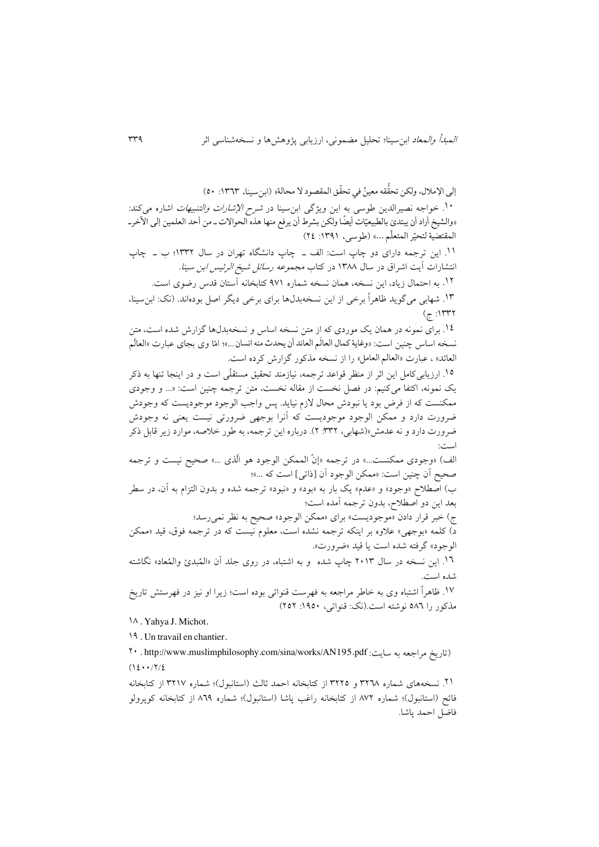إلى الإملال، ولكن تحقُّقه معينٌ في تحقّق المقصود لا محالة» (ابنسينا، ١٣٦٣: ٥٠)  $\ddot{\cdot}$  $\ddot{\dot{}}$ .<br>۱۰ خواجه نصیرالدین طوسی به این ویژگی ابن سینا در *شرح الإشارات والتنبیهات* اشاره میکند: »والشیخ أراد أن یبتدئ بالطبیعیات أیضا ولکن بشرط أن یرفع منها هذه الحواالت ـ من أحد العلمین إلى اآلخرـ  $\ddot{\phantom{0}}$ ֧֦֧֦֧֦֧֦֧֦֧֦֧֦֞ المقتضية لتحيّر المتعلم ...» (طوسى، ١٣٩١: ٢٤) -<br>i ֦֧ .66 اين ترجمه دارای دو چاپ است: الف ـ چاپ دانشگاه تهران در سال 6331؛ ب ـ چاپ انتشارات آيت اشراق در سال ۱۳۸۸ در کتاب *مجموعه رسائل شیخ الرئیس ابن سینا.* .61 به احتمال زياد، اين نسخه، همان نسخه شماره 336 کتابخانه آستان قدس رضوی است. .63 شهابی میگويد ظاهرا برخی از اين نسخهبدلها برای برخی ديگر اصل بودهاند. )نک: ابنسینا،  $(7:1$ ۳۳۲ .60 برای نمونه در همان يک موردی که از متن نسخه اساس و نسخهبدلها گزارش شده است، متن نسخه اساس چنین است: «وغایة کمال العالم العائد أن یحدث منه انسان…»؛ امّا وی بجای عبارت «العالْم  $\frac{1}{1}$ العائد» ، عبارت «العالم العامل» را از نسخه مذکور گزارش کرده است. .65 ارزيابی کامل اين اثر از منظر قواعد ترجمه، نیازمند تحقیق مستقل ی است و در اينجا تنها به ذکر يک نمونه، اکتفا میکنیم: در فصل نخست از مقاله نخست، متن ترجمه چنین است: »... و وجودی ممکنست که از فرض بود يا نبودش محال الزم نیايد. پس واجب الوجود موجوديست که وجودش ضرورت دارد و ممکن الوجود موجوديست که آنرا بوجهی ضرورتی نیست يعنی نه وجودش ضرورت دارد و نه عدمش«)شهابی، :331 1(. درباره اين ترجمه، به طور خالصه، موارد زير قابل ذکر است: الف) «وجودی ممکنست...» در ترجمه «إن الممکن الوجود هو الدی ...» صحیح نیست و ترجمه صحیح آن چنین است: »ممکن الوجود آن ]ذاتی[ است که ...«؛ ب) اصطلاح «وجود» و «عدم» يک بار به «بود» و «نبود» ترجمه شده و بدون التزام به آن، در سطر بعد اين دو اصطالح، بدون ترجمه آمده است؛ ج) خبر قرار دادن «موجوديست» برای «ممکن الوجود» صحیح به نظر نمی رسد؛ د) کلمه «بوجهی» علاوه بر اینکه ترجمه نشده است، معلوم نیست که در ترجمه فوق، قید «ممکن الوجود« گرفته شده است يا قید »ضرورت«. .61 اين نسخه در سال 1463 چاپ شده و به اشتباه، در روی جلد آن » الم بدئ والم عاد« نگاشته شده است. 63 . ظاهرا اشتباه وی به خاطر مراجعه به فهرست قنواتی بوده است؛ زيرا او نیز در فهرستش تاريخ مذکور را 531 نوشته است.)نک: قنواتی، :6354 151( 63 . Yahya J. Michot. 19. Un travail en chantier.

14 [. http://www.muslimphilosophy.com/sina/works/AN195.pdf](http://www.muslimphilosophy.com/sina/works/AN195.pdf) :سايت به مراجعه تاريخ )  $(16 \cdot 17/2)$ 

.16 نسخههای شماره 3113 و 3115 از کتابخانه احمد ثالث )استانبول(؛ شماره 3163 از کتابخانه فاتح (استانبول)؛ شماره ۸۷۲ از کتابخانه راغب پاشا (استانبول)؛ شماره ۸٦۹ از کتابخانه کویرولو فاضل احمد پاشا.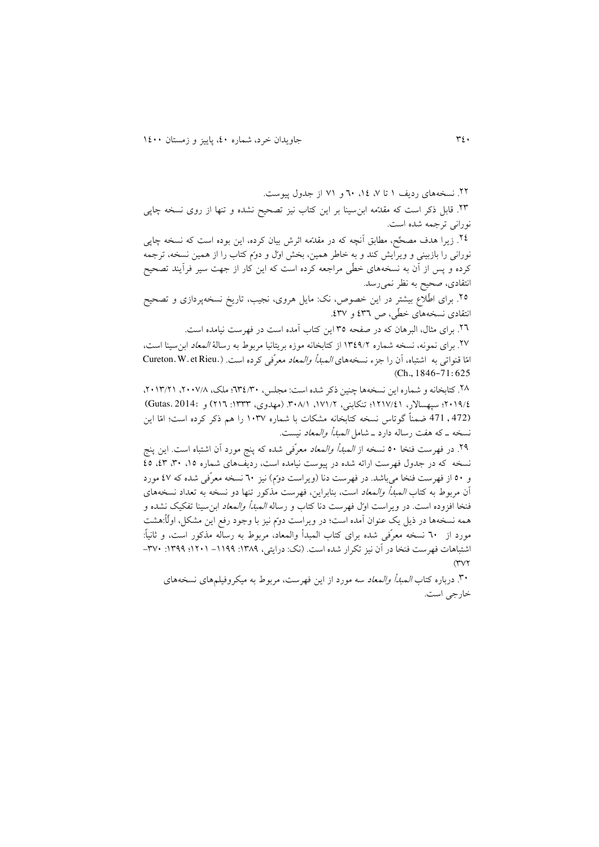.11 نسخههای رديف 6 تا ،3 ،60 14 و 36 از جدول پیوست.

۲۳. قابل ذکر است که مقدّمه ابن $بینا بر این کتاب نیز تصحیح نشده و تنها از روی نسخه چاپی$ نورانی ترجمه شده است.

٢٤. زيرا هدف مصحَّح، مطابق آنچه که در مقدَّمه اثرش بيان کرده، اين بوده است که نسخه چاپی نورانی را بازبینی و ویرایش کند و به خاطر همین، بخش اول و دوم کتاب را از همین نسخه، ترجمه کرده و پس از آن به نسخههای خطّی مراجعه کرده است که این کار از جهت سیر فرآیند تصحیح انتقادی، صحیح به نظر نمیرسد.

٢٥. برای اطّلاع بیشتر در اين خصوص، نک: مايل هروی، نجیب، تاريخ نسخهپردازی و تصحیح انتقادی نسخههای خطّی، ص ٤٣٦ و ٤٣٧.

.11 برای مثال، البرهان که در صفحه 35 اين کتاب آمده است در فهرست نیامده است.

.13 برای نمونه، نسخه شماره 6303/1 از کتابخانه موزه بريتانیا مربوط به رسالة المعاد ابنسینا است، امّا قنواتی به اشتباه، آن را جزء نسخههای *المبدأ والمعاد معر*ّفی کرده است. (.Cureton. W. et Rieu )Ch., 1846-71: 625

.13 کتابخانه و شماره اين نسخهها چنین ذکر شده است: مجلس، 130/34؛ ملک، ،1443/3 ،1463/16 1463/0؛ سپهساالر، 6163/06؛ تنکابنی، ،636/1 .343/6 )مهدوی، :6333 161) و 2014: .Gutas( (472 , 471 ضمناً گوتاس نسخه کتابخانه مشکات با شماره ۱۰۳۷ را هم ذکر کرده است؛ امّا اين نسخه ـ که هفت رساله دارد ـ شامل المبدأ والمعاد نیست.

۲۹. در فهرست فنخا ۵۰ نسخه از *المبدأ والمعاد* معرّفی شده که پنج مورد آن اشتباه است. اين پنج نسخه که در جدول فهرست ارائه شده در پیوست نیامده است، ردیفهای شماره ۰/۵ ،۳۰ ،۵۳ ،0 و ٥٠ از فهرست فنخا می باشد. در فهرست دنا (ویراست دو ًم) نیز ٦٠ نسخه معرّفی شده که ٤٧ مورد آن مربوط به کتاب المبدأ والمعاد است، بنابراين، فهرست مذکور تنها دو نسخه به تعداد نسخههای فنخا افزوده است. در ويراست اول فهرست دنا کتاب و رساله *المبدأ والمعاد* ابن سينا تفکيک نشده و همه نسخهها در ذيل يک عنوان آمده است؛ در ويراست دوم نيز با وجود رفع اين مشکل، اولَما:هشت مورد از ٦٠ نسخه معرّفی شده برای کتاب المبدأ والمعاد، مربوط به رساله مذکور است، و ثانیاً: اشتباهات فهرست فنخا در آن نيز تكرار شده است. (نک: درايتي، ١٣٨٩: ١٢٩٩- ١٢٠١؛ ١٣٩٩: ٣٧٠- $(1)$ 

.34 درباره کتاب المبدأ والمعاد سه مورد از اين فهرست، مربوط به میکروفیلمهای نسخههای خارجی است.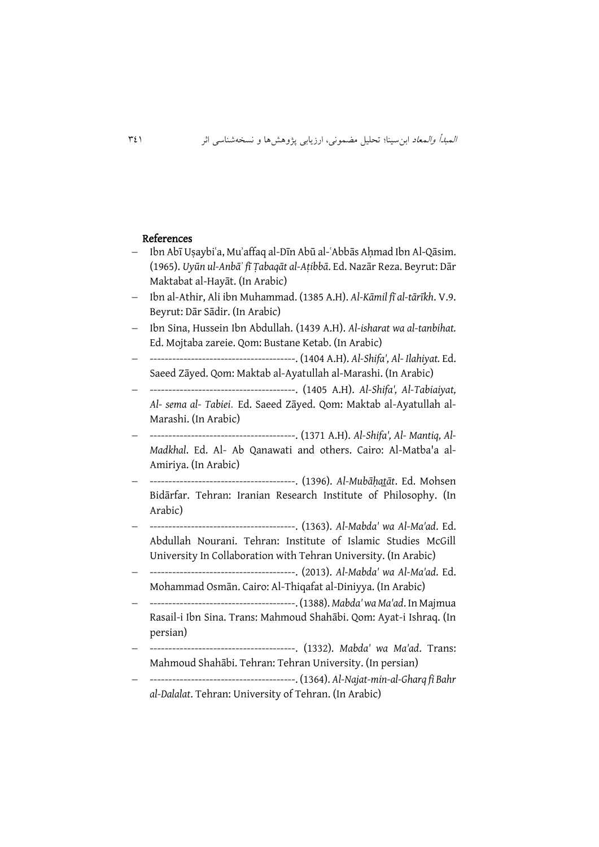#### References

- $-$  Ibn Abī Usaybiʿa, Muʾaffaq al-Dīn Abū al-ʿAbbās Ahmad Ibn Al-Qāsim. (1965). *Uyūn ul-Anbāʾ fī Ṭabaqāt al-Aṭibbā*. Ed. Nazār Reza. Beyrut: Dār Maktabat al-Hayāt. (In Arabic)
- Ibn al-Athir, Ali ibn Muhammad. (1385 A.H). *Al-Kāmil fī al-tārīkh*. V.9. Beyrut: Dār Sādir. (In Arabic)
- Ibn Sina, Hussein Ibn Abdullah. (1439 A.H). *Al-isharat wa al-tanbihat.* Ed. Mojtaba zareie. Qom: Bustane Ketab. (In Arabic)
- ---------------------------------------. (1404 A.H). *Al-Shifa', Al- Ilahiyat.* Ed. Saeed Zāyed. Qom: Maktab al-Ayatullah al-Marashi. (In Arabic)
- ---------------------------------------. (1405 A.H). *Al-Shifa', Al-Tabiaiyat, Al- sema al- Tabiei*. Ed. Saeed Zāyed. Qom: Maktab al-Ayatullah al-Marashi. (In Arabic)
- ---------------------------------------. (1371 A.H). *Al-Shifa', Al- Mantiq, Al-Madkhal*. Ed. Al- Ab Qanawati and others. Cairo: Al-Matba'a al-Amiriya. (In Arabic)
- ---------------------------------------. (1396). *Al-Mubāḥat̲āt*. Ed. Mohsen Bidārfar. Tehran: Iranian Research Institute of Philosophy. (In Arabic)
- ---------------------------------------. (1363). *Al-Mabda' wa Al-Ma'ad*. Ed. Abdullah Nourani. Tehran: Institute of Islamic Studies McGill University In Collaboration with Tehran University. (In Arabic)
- ---------------------------------------. (2013). *Al-Mabda' wa Al-Ma'ad*. Ed. Mohammad Osmān. Cairo: Al-Thiqafat al-Diniyya. (In Arabic)
- ---------------------------------------. (1388). *Mabda' wa Ma'ad*. In Majmua Rasail-i Ibn Sina. Trans: Mahmoud Shahābi. Qom: Ayat-i Ishraq. (In persian)
- ---------------------------------------. (1332). *Mabda' wa Ma'ad*. Trans: Mahmoud Shahābi. Tehran: Tehran University. (In persian)
- ---------------------------------------. (1364). *Al-Najat-min-al-Gharq fi Bahr al-Dalalat*. Tehran: University of Tehran. (In Arabic)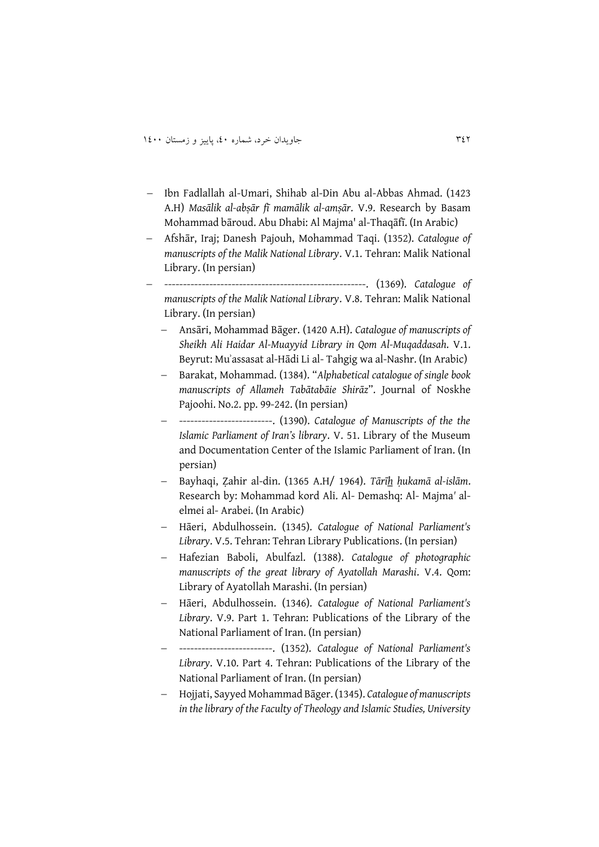- Ibn Fadlallah al-Umari, Shihab al-Din Abu al-Abbas Ahmad. (1423 A.H) *Masālik al-abṣār fī mamālik al-amṣār*. V.9. Research by Basam Mohammad bāroud. Abu Dhabi: Al Majma' al-Thaqāfī. (In Arabic)
- Afshār, Iraj; Danesh Pajouh, Mohammad Taqi. (1352). *Catalogue of manuscripts of the Malik National Library*. V.1. Tehran: Malik National Library. (In persian)
- ------------------------------------------------------. (1369). *Catalogue of manuscripts of the Malik National Library*. V.8. Tehran: Malik National Library. (In persian)
	- Ansāri, Mohammad Bāger. (1420 A.H). *Catalogue of manuscripts of Sheikh Ali Haidar Al-Muayyid Library in Qom Al-Muqaddasah*. V.1. Beyrut: Muʾassasat al-Hādi Li al- Tahgig wa al-Nashr. (In Arabic)
	- Barakat, Mohammad. (1384). "*Alphabetical catalogue of single book manuscripts of Allameh Tabātabāie Shirāz*". Journal of Noskhe Pajoohi. No.2. pp. 99-242. (In persian)
	- -------------------------. (1390). *Catalogue of Manuscripts of the the Islamic Parliament of Iran's library*. V. 51. Library of the Museum and Documentation Center of the Islamic Parliament of Iran. (In persian)
	- Bayhaqi, Ẓahir al-din. (1365 A.H/ 1964). *Tārīh̲ ḥukamā al-islām*. Research by: Mohammad kord Ali. Al- Demashq: Al- Majma*'* alelmei al- Arabei. (In Arabic)
	- Hāeri, Abdulhossein. (1345). *Catalogue of National Parliament's Library*. V.5. Tehran: Tehran Library Publications. (In persian)
	- Hafezian Baboli, Abulfazl. (1388). *Catalogue of photographic manuscripts of the great library of Ayatollah Marashi*. V.4. Qom: Library of Ayatollah Marashi. (In persian)
	- Hāeri, Abdulhossein. (1346). *Catalogue of National Parliament's Library*. V.9. Part 1. Tehran: Publications of the Library of the National Parliament of Iran. (In persian)
	- -------------------------. (1352). *Catalogue of National Parliament's Library*. V.10. Part 4. Tehran: Publications of the Library of the National Parliament of Iran. (In persian)
	- Hojjati, Sayyed Mohammad Bāger. (1345). *Catalogue of manuscripts in the library of the Faculty of Theology and Islamic Studies, University*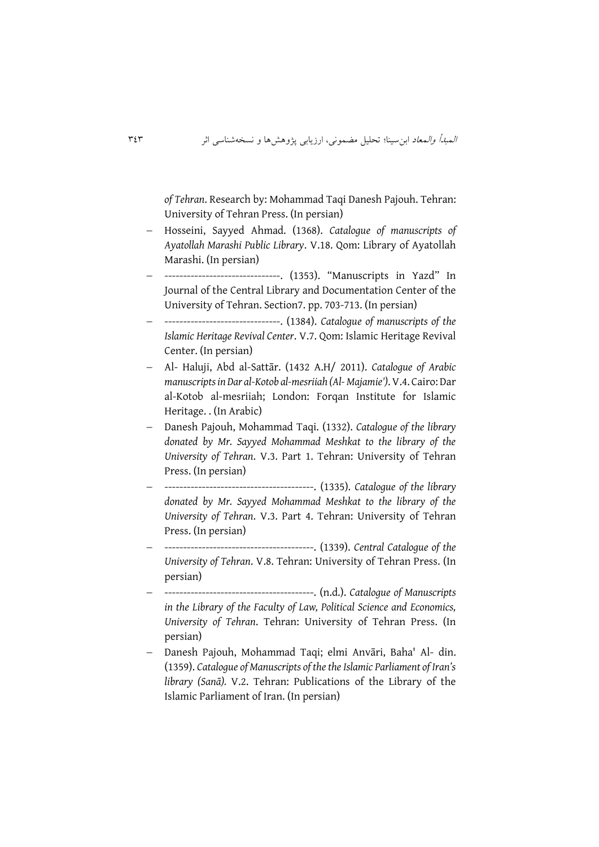*of Tehran*. Research by: Mohammad Taqi Danesh Pajouh. Tehran: University of Tehran Press. (In persian)

- Hosseini, Sayyed Ahmad. (1368). *Catalogue of manuscripts of Ayatollah Marashi Public Library*. V.18. Qom: Library of Ayatollah Marashi. (In persian)
- -------------------------------. (1353). "Manuscripts in Yazd" In Journal of the Central Library and Documentation Center of the University of Tehran. Section7. pp. 703-713. (In persian)
- -------------------------------. (1384). *Catalogue of manuscripts of the Islamic Heritage Revival Center*. V.7. Qom: Islamic Heritage Revival Center. (In persian)
- Al- Haluji, Abd al-Sattār. (1432 A.H/ 2011). *Catalogue of Arabic manuscripts in Dar al-Kotob al-mesriiah (Al- Majamie')*. V.4. Cairo: Dar al-Kotob al-mesriiah; London: Forqan Institute for Islamic Heritage. . (In Arabic)
- Danesh Pajouh, Mohammad Taqi. (1332). *Catalogue of the library donated by Mr. Sayyed Mohammad Meshkat to the library of the University of Tehran*. V.3. Part 1. Tehran: University of Tehran Press. (In persian)
- ----------------------------------------. (1335). *Catalogue of the library donated by Mr. Sayyed Mohammad Meshkat to the library of the University of Tehran*. V.3. Part 4. Tehran: University of Tehran Press. (In persian)
- ----------------------------------------. (1339). *Central Catalogue of the University of Tehran*. V.8. Tehran: University of Tehran Press. (In persian)
- ----------------------------------------. (n.d.). *Catalogue of Manuscripts in the Library of the Faculty of Law, Political Science and Economics, University of Tehran*. Tehran: University of Tehran Press. (In persian)
- Danesh Pajouh, Mohammad Taqi; elmi Anvāri, Baha' Al- din. (1359). *Catalogue of Manuscripts of the the Islamic Parliament of Iran's library (Sanā).* V.2. Tehran: Publications of the Library of the Islamic Parliament of Iran. (In persian)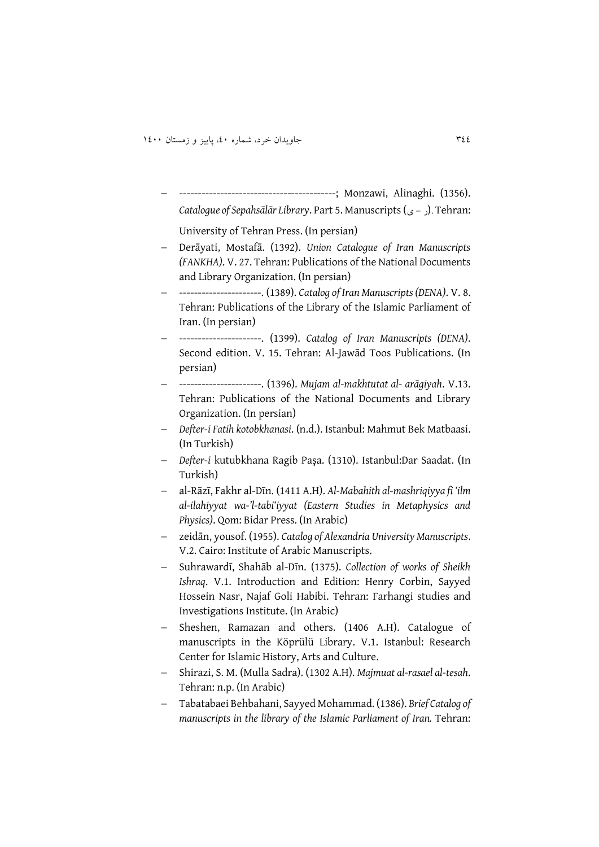------------------------------------------; Monzawi, Alinaghi. (1356). *Catalogue of Sepahsālār Library*. Part 5. Manuscripts(ی - ر(. Tehran:

University of Tehran Press. (In persian)

- Derāyati, Mostafā. (1392). *Union Catalogue of Iran Manuscripts (FANKHA)*. V. 27. Tehran: Publications of the National Documents and Library Organization. (In persian)
- ----------------------. (1389). *Catalog of Iran Manuscripts (DENA)*. V. 8. Tehran: Publications of the Library of the Islamic Parliament of Iran. (In persian)
- ----------------------. (1399). *Catalog of Iran Manuscripts (DENA)*. Second edition. V. 15. Tehran: Al-Jawād Toos Publications. (In persian)
- ----------------------. (1396). *Mujam al-makhtutat al- arāgiyah*. V.13. Tehran: Publications of the National Documents and Library Organization. (In persian)
- *Defter-i Fatih kotobkhanasi*. (n.d.). Istanbul: Mahmut Bek Matbaasi. (In Turkish)
- *Defter-i* kutubkhana Ragib Paşa. (1310). Istanbul:Dar Saadat. (In Turkish)
- al-Rāzī, Fakhr al-Dīn. (1411 A.H). *Al-Mabahith al-mashriqiyya fi 'ilm al-ilahiyyat wa-'l-tabi'iyyat (Eastern Studies in Metaphysics and Physics)*. Qom: Bidar Press. (In Arabic)
- zeidān, yousof. (1955). *Catalog of Alexandria University Manuscripts*. V.2. Cairo: Institute of Arabic Manuscripts.
- Suhrawardī, Shahāb al-Dīn. (1375). *Collection of works of Sheikh Ishraq*. V.1. Introduction and Edition: Henry Corbin, Sayyed Hossein Nasr, Najaf Goli Habibi. Tehran: Farhangi studies and Investigations Institute. (In Arabic)
- Sheshen, Ramazan and others. (1406 A.H). Catalogue of manuscripts in the Köprülü Library. V.1. Istanbul: Research Center for Islamic History, Arts and Culture.
- Shirazi, S. M. (Mulla Sadra). (1302 A.H). *Majmuat al-rasael al-tesah*. Tehran: n.p. (In Arabic)
- Tabatabaei Behbahani, Sayyed Mohammad. (1386). *Brief Catalog of manuscripts in the library of the Islamic Parliament of Iran.* Tehran: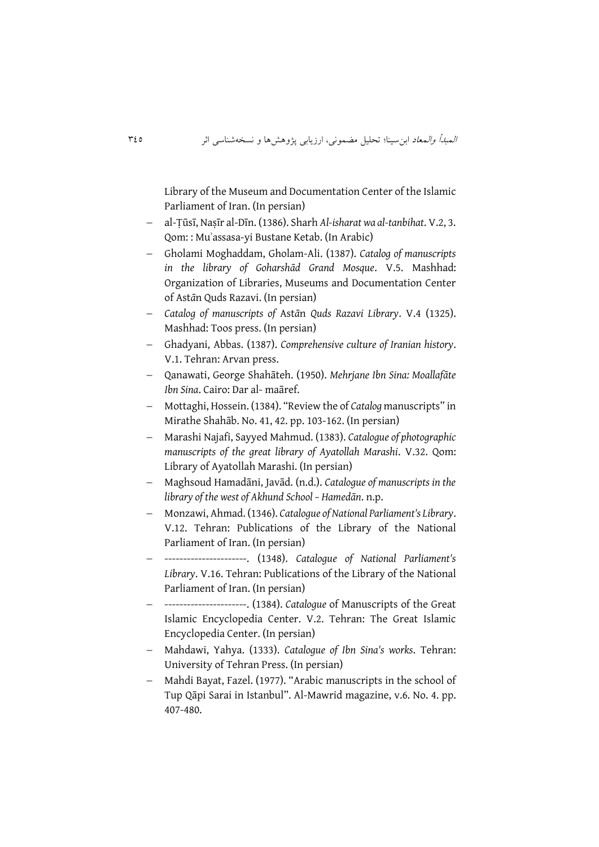Library of the Museum and Documentation Center of the Islamic Parliament of Iran. (In persian)

- al-Ṭūsī, Naṣīr al-Dīn. (1386). Sharh *Al-isharat wa al-tanbihat*. V.2, 3. Qom: : Muʾassasa-yi Bustane Ketab. (In Arabic)
- Gholami Moghaddam, Gholam-Ali. (1387). *Catalog of manuscripts in the library of Goharshād Grand Mosque*. V.5. Mashhad: Organization of Libraries, Museums and Documentation Center of Ast*ā*n Quds Razavi. (In persian)
- *Catalog of manuscripts of* Ast*ā*n *Quds Razavi Library*. V.4 (1325). Mashhad: Toos press. (In persian)
- Ghadyani, Abbas. (1387). *Comprehensive culture of Iranian history*. V.1. Tehran: Arvan press.
- Qanawati, George Shahāteh. (1950). *Mehrjane Ibn Sina: Moallafāte Ibn Sina*. Cairo: Dar al- maāref.
- Mottaghi, Hossein. (1384). "Review the of *Catalog* manuscripts" in Mirathe Shahāb. No. 41, 42. pp. 103-162. (In persian)
- Marashi Najafi, Sayyed Mahmud. (1383). *Catalogue of photographic manuscripts of the great library of Ayatollah Marashi*. V.32. Qom: Library of Ayatollah Marashi. (In persian)
- Maghsoud Hamadāni, Javād. (n.d.). *Catalogue of manuscripts in the library of the west of Akhund School – Hamedān*. n.p.
- Monzawi, Ahmad. (1346). *Catalogue of National Parliament's Library*. V.12. Tehran: Publications of the Library of the National Parliament of Iran. (In persian)
- ----------------------. (1348). *Catalogue of National Parliament's Library*. V.16. Tehran: Publications of the Library of the National Parliament of Iran. (In persian)
- ----------------------. (1384). *Catalogue* of Manuscripts of the Great Islamic Encyclopedia Center. V.2. Tehran: The Great Islamic Encyclopedia Center. (In persian)
- Mahdawi, Yahya. (1333). *Catalogue of Ibn Sina's works*. Tehran: University of Tehran Press. (In persian)
- Mahdi Bayat, Fazel. (1977). "Arabic manuscripts in the school of Tup Qāpi Sarai in Istanbul". Al-Mawrid magazine, v.6. No. 4. pp. 407-480.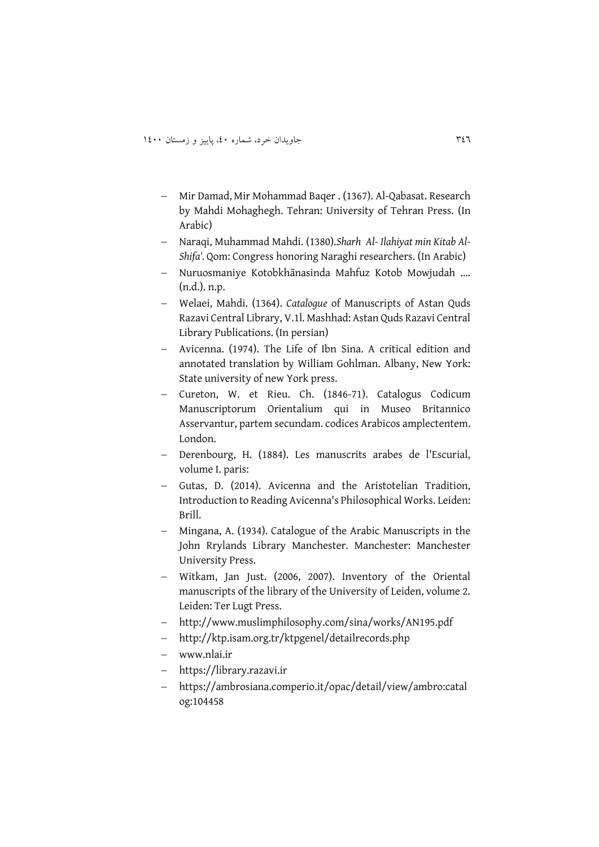- Mir Damad, Mir Mohammad Baqer . (1367). Al-Qabasat. Research by Mahdi Mohaghegh. Tehran: University of Tehran Press. (In Arabic)
- Naraqi, Muhammad Mahdi. (1380).*Sharh Al- Ilahiyat min Kitab Al-Shifa'.* Qom: Congress honoring Naraghi researchers. (In Arabic)
- Nuruosmaniye Kotobkhānasinda Mahfuz Kotob Mowjudah …. (n.d.). n.p.
- Welaei, Mahdi. (1364). *Catalogue* of Manuscripts of Astan Quds Razavi Central Library, V.1l. Mashhad: Astan Quds Razavi Central Library Publications. (In persian)
- Avicenna. (1974). The Life of Ibn Sina. A critical edition and annotated translation by William Gohlman. Albany, New York: State university of new York press.
- Cureton, W. et Rieu. Ch. (1846-71). Catalogus Codicum Manuscriptorum Orientalium qui in Museo Britannico Asservantur, partem secundam. codices Arabicos amplectentem. London.
- Derenbourg, H. (1884). Les manuscrits arabes de l'Escurial, volume I. paris:
- Gutas, D. (2014). Avicenna and the Aristotelian Tradition, Introduction to Reading Avicenna's Philosophical Works. Leiden: Brill.
- Mingana, A. (1934). Catalogue of the Arabic Manuscripts in the John Rrylands Library Manchester. Manchester: Manchester University Press.
- Witkam, Jan Just. (2006, 2007). Inventory of the Oriental manuscripts of the library of the University of Leiden, volume 2. Leiden: Ter Lugt Press.
- http://www.muslimphilosophy.com/sina/works/AN195.pdf
- http://ktp.isam.org.tr/ktpgenel/detailrecords.php
- www.nlai.ir
- https://library.razavi.ir
- https://ambrosiana.comperio.it/opac/detail/view/ambro:catal og:104458